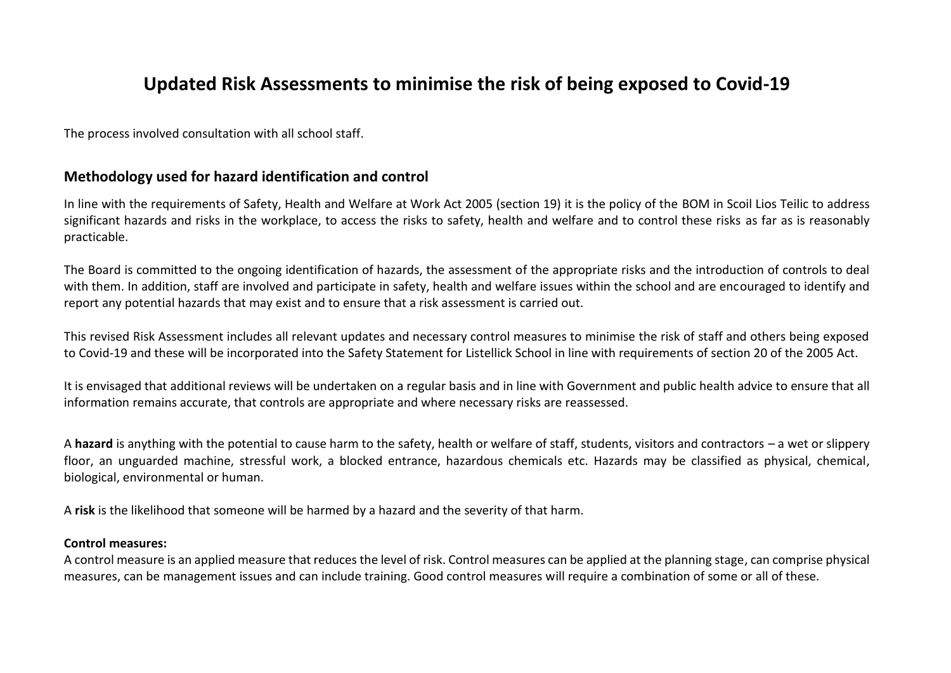### **Updated Risk Assessments to minimise the risk of being exposed to Covid-19**

The process involved consultation with all school staff.

### **Methodology used for hazard identification and control**

In line with the requirements of Safety, Health and Welfare at Work Act 2005 (section 19) it is the policy of the BOM in Scoil Lios Teilic to address significant hazards and risks in the workplace, to access the risks to safety, health and welfare and to control these risks as far as is reasonably practicable.

The Board is committed to the ongoing identification of hazards, the assessment of the appropriate risks and the introduction of controls to deal with them. In addition, staff are involved and participate in safety, health and welfare issues within the school and are encouraged to identify and report any potential hazards that may exist and to ensure that a risk assessment is carried out.

This revised Risk Assessment includes all relevant updates and necessary control measures to minimise the risk of staff and others being exposed to Covid-19 and these will be incorporated into the Safety Statement for Listellick School in line with requirements of section 20 of the 2005 Act.

It is envisaged that additional reviews will be undertaken on a regular basis and in line with Government and public health advice to ensure that all information remains accurate, that controls are appropriate and where necessary risks are reassessed.

A **hazard** is anything with the potential to cause harm to the safety, health or welfare of staff, students, visitors and contractors – a wet or slippery floor, an unguarded machine, stressful work, a blocked entrance, hazardous chemicals etc. Hazards may be classified as physical, chemical, biological, environmental or human.

A **risk** is the likelihood that someone will be harmed by a hazard and the severity of that harm.

#### **Control measures:**

A control measure is an applied measure that reduces the level of risk. Control measures can be applied at the planning stage, can comprise physical measures, can be management issues and can include training. Good control measures will require a combination of some or all of these.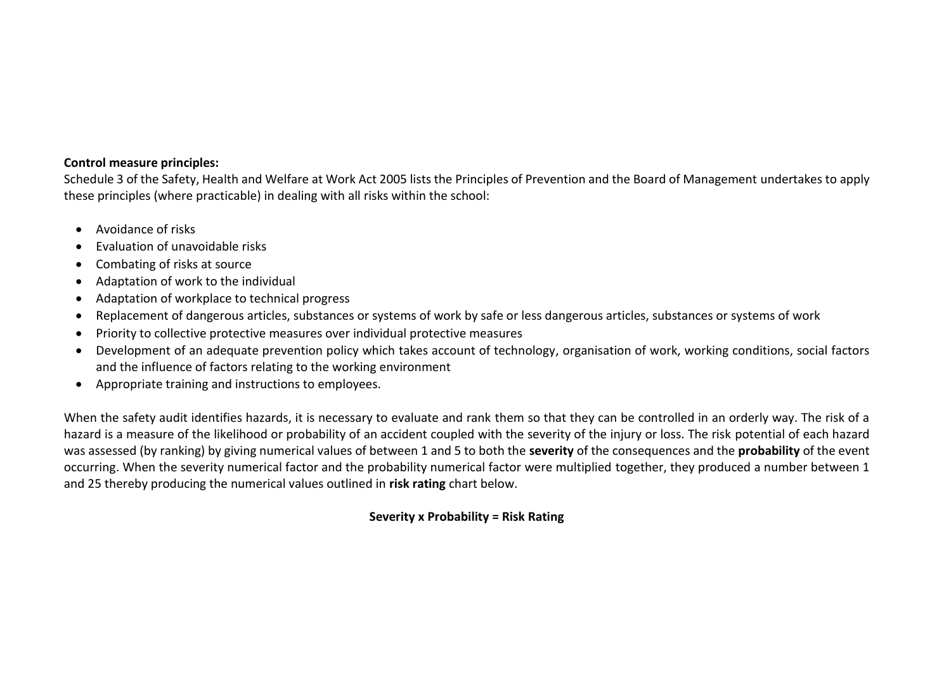#### **Control measure principles:**

Schedule 3 of the Safety, Health and Welfare at Work Act 2005 lists the Principles of Prevention and the Board of Management undertakes to apply these principles (where practicable) in dealing with all risks within the school:

- Avoidance of risks
- Evaluation of unavoidable risks
- Combating of risks at source
- Adaptation of work to the individual
- Adaptation of workplace to technical progress
- Replacement of dangerous articles, substances or systems of work by safe or less dangerous articles, substances or systems of work
- Priority to collective protective measures over individual protective measures
- Development of an adequate prevention policy which takes account of technology, organisation of work, working conditions, social factors and the influence of factors relating to the working environment
- Appropriate training and instructions to employees.

When the safety audit identifies hazards, it is necessary to evaluate and rank them so that they can be controlled in an orderly way. The risk of a hazard is a measure of the likelihood or probability of an accident coupled with the severity of the injury or loss. The risk potential of each hazard was assessed (by ranking) by giving numerical values of between 1 and 5 to both the **severity** of the consequences and the **probability** of the event occurring. When the severity numerical factor and the probability numerical factor were multiplied together, they produced a number between 1 and 25 thereby producing the numerical values outlined in **risk rating** chart below.

#### **Severity x Probability = Risk Rating**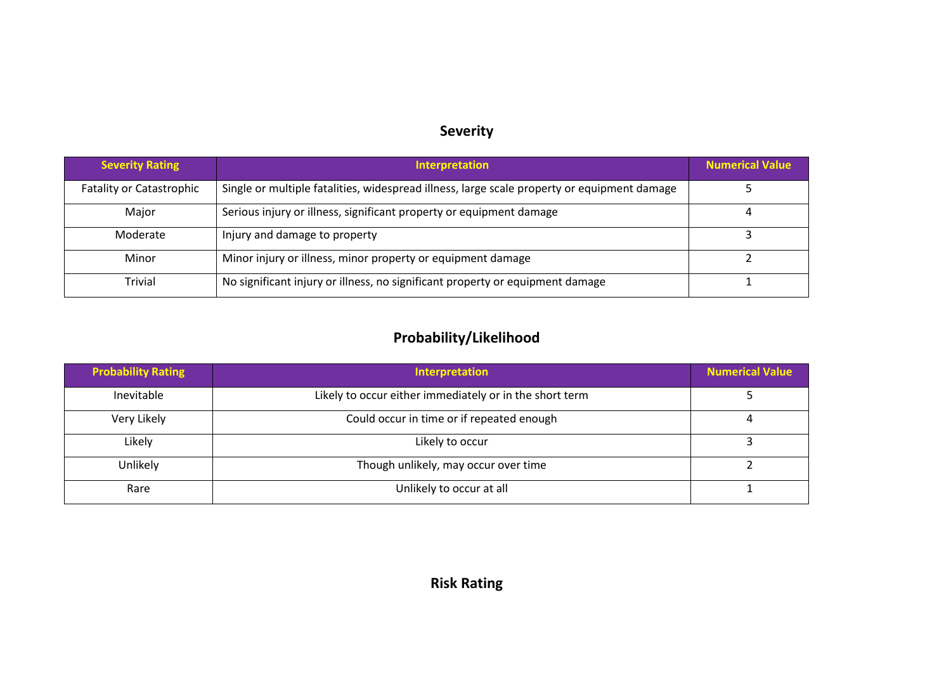## **Severity**

| <b>Severity Rating</b>          | <b>Interpretation</b>                                                                       | <b>Numerical Value</b> |
|---------------------------------|---------------------------------------------------------------------------------------------|------------------------|
| <b>Fatality or Catastrophic</b> | Single or multiple fatalities, widespread illness, large scale property or equipment damage |                        |
| Major                           | Serious injury or illness, significant property or equipment damage                         |                        |
| Moderate                        | Injury and damage to property                                                               |                        |
| Minor                           | Minor injury or illness, minor property or equipment damage                                 |                        |
| <b>Trivial</b>                  | No significant injury or illness, no significant property or equipment damage               |                        |

# **Probability/Likelihood**

| <b>Probability Rating</b> | Interpretation                                          | <b>Numerical Value</b> |
|---------------------------|---------------------------------------------------------|------------------------|
| Inevitable                | Likely to occur either immediately or in the short term |                        |
| Very Likely               | Could occur in time or if repeated enough               |                        |
| Likely                    | Likely to occur                                         |                        |
| Unlikely                  | Though unlikely, may occur over time                    |                        |
| Rare                      | Unlikely to occur at all                                |                        |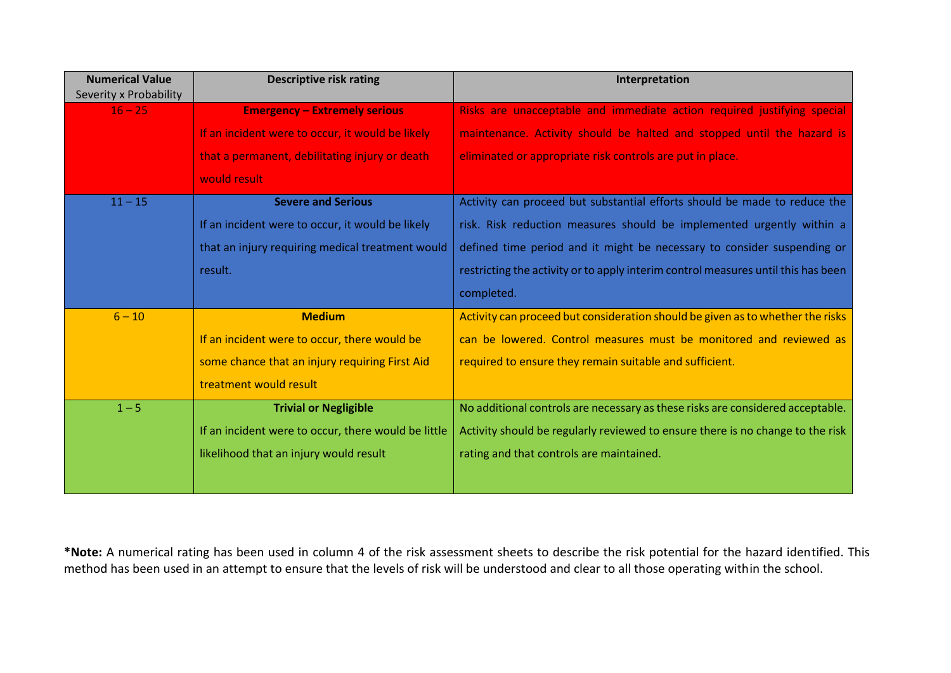| <b>Numerical Value</b><br>Severity x Probability | <b>Descriptive risk rating</b>                      | Interpretation                                                                    |
|--------------------------------------------------|-----------------------------------------------------|-----------------------------------------------------------------------------------|
| $16 - 25$                                        | <b>Emergency - Extremely serious</b>                | Risks are unacceptable and immediate action required justifying special           |
|                                                  | If an incident were to occur, it would be likely    | maintenance. Activity should be halted and stopped until the hazard is            |
|                                                  | that a permanent, debilitating injury or death      | eliminated or appropriate risk controls are put in place.                         |
|                                                  | would result                                        |                                                                                   |
| $11 - 15$                                        | <b>Severe and Serious</b>                           | Activity can proceed but substantial efforts should be made to reduce the         |
|                                                  | If an incident were to occur, it would be likely    | risk. Risk reduction measures should be implemented urgently within a             |
|                                                  | that an injury requiring medical treatment would    | defined time period and it might be necessary to consider suspending or           |
|                                                  | result.                                             | restricting the activity or to apply interim control measures until this has been |
|                                                  |                                                     | completed.                                                                        |
| $6 - 10$                                         | <b>Medium</b>                                       | Activity can proceed but consideration should be given as to whether the risks    |
|                                                  | If an incident were to occur, there would be        | can be lowered. Control measures must be monitored and reviewed as                |
|                                                  | some chance that an injury requiring First Aid      | required to ensure they remain suitable and sufficient.                           |
|                                                  | treatment would result                              |                                                                                   |
| $1 - 5$                                          | <b>Trivial or Negligible</b>                        | No additional controls are necessary as these risks are considered acceptable.    |
|                                                  | If an incident were to occur, there would be little | Activity should be regularly reviewed to ensure there is no change to the risk    |
|                                                  | likelihood that an injury would result              | rating and that controls are maintained.                                          |
|                                                  |                                                     |                                                                                   |

**\*Note:** A numerical rating has been used in column 4 of the risk assessment sheets to describe the risk potential for the hazard identified. This method has been used in an attempt to ensure that the levels of risk will be understood and clear to all those operating within the school.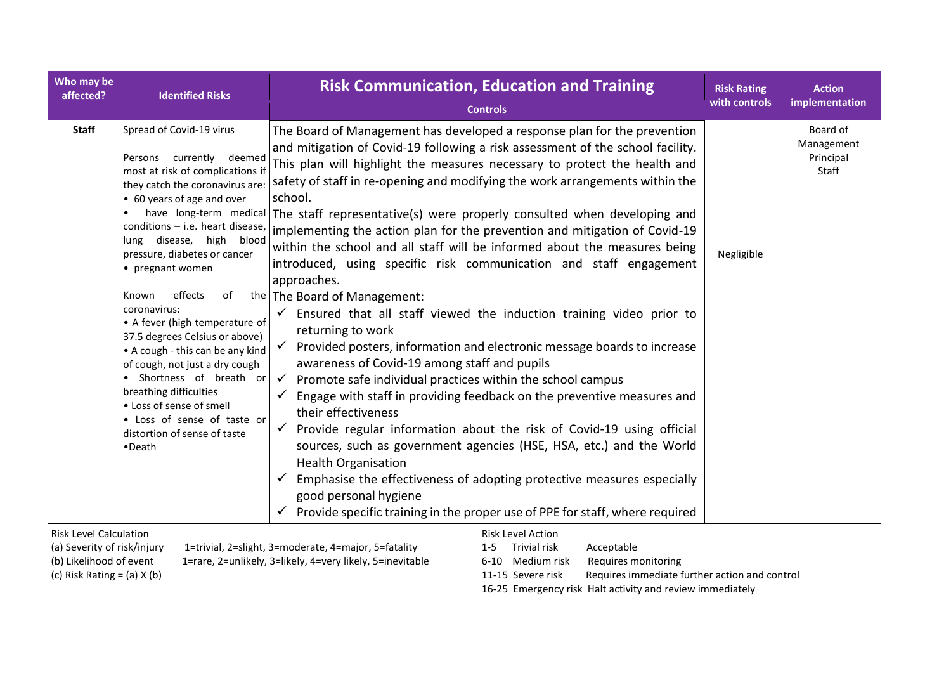| Who may be<br>affected?                                                                                                                                                                                                                                                                                                                                                                                                                                                                            | <b>Identified Risks</b>                                                                                                                                                                                                                                                                                                                                                                                                                                                                                                                                                                                                         | <b>Risk Communication, Education and Training</b><br><b>Controls</b>                                                                                                                                                                                                                                                                                                                                                                                                                                                                                                                                                                                                                                                                                                                                                                                                                                                                                                                                                                                                                                                                                                                                                                                                                                                                                                                                                                                                                                                                                                        | <b>Risk Rating</b><br>with controls | <b>Action</b><br>implementation              |
|----------------------------------------------------------------------------------------------------------------------------------------------------------------------------------------------------------------------------------------------------------------------------------------------------------------------------------------------------------------------------------------------------------------------------------------------------------------------------------------------------|---------------------------------------------------------------------------------------------------------------------------------------------------------------------------------------------------------------------------------------------------------------------------------------------------------------------------------------------------------------------------------------------------------------------------------------------------------------------------------------------------------------------------------------------------------------------------------------------------------------------------------|-----------------------------------------------------------------------------------------------------------------------------------------------------------------------------------------------------------------------------------------------------------------------------------------------------------------------------------------------------------------------------------------------------------------------------------------------------------------------------------------------------------------------------------------------------------------------------------------------------------------------------------------------------------------------------------------------------------------------------------------------------------------------------------------------------------------------------------------------------------------------------------------------------------------------------------------------------------------------------------------------------------------------------------------------------------------------------------------------------------------------------------------------------------------------------------------------------------------------------------------------------------------------------------------------------------------------------------------------------------------------------------------------------------------------------------------------------------------------------------------------------------------------------------------------------------------------------|-------------------------------------|----------------------------------------------|
| <b>Staff</b>                                                                                                                                                                                                                                                                                                                                                                                                                                                                                       | Spread of Covid-19 virus<br>Persons currently deemed<br>most at risk of complications if<br>they catch the coronavirus are:<br>• 60 years of age and over<br>conditions - i.e. heart disease,<br>lung disease, high<br>blood<br>pressure, diabetes or cancer<br>• pregnant women<br>effects<br>of<br>Known<br>coronavirus:<br>• A fever (high temperature of<br>37.5 degrees Celsius or above)<br>• A cough - this can be any kind<br>of cough, not just a dry cough<br>• Shortness of breath or<br>breathing difficulties<br>• Loss of sense of smell<br>• Loss of sense of taste or<br>distortion of sense of taste<br>•Death | The Board of Management has developed a response plan for the prevention<br>and mitigation of Covid-19 following a risk assessment of the school facility.<br>This plan will highlight the measures necessary to protect the health and<br>safety of staff in re-opening and modifying the work arrangements within the<br>school.<br>have long-term medical The staff representative(s) were properly consulted when developing and<br>implementing the action plan for the prevention and mitigation of Covid-19<br>within the school and all staff will be informed about the measures being<br>introduced, using specific risk communication and staff engagement<br>approaches.<br>the The Board of Management:<br>Ensured that all staff viewed the induction training video prior to<br>$\checkmark$<br>returning to work<br>Provided posters, information and electronic message boards to increase<br>$\checkmark$<br>awareness of Covid-19 among staff and pupils<br>$\checkmark$<br>Promote safe individual practices within the school campus<br>Engage with staff in providing feedback on the preventive measures and<br>their effectiveness<br>Provide regular information about the risk of Covid-19 using official<br>$\checkmark$<br>sources, such as government agencies (HSE, HSA, etc.) and the World<br><b>Health Organisation</b><br>$\checkmark$<br>Emphasise the effectiveness of adopting protective measures especially<br>good personal hygiene<br>Provide specific training in the proper use of PPE for staff, where required<br>$\checkmark$ | Negligible                          | Board of<br>Management<br>Principal<br>Staff |
| <b>Risk Level Calculation</b><br>Risk Level Action<br>(a) Severity of risk/injury<br>1=trivial, 2=slight, 3=moderate, 4=major, 5=fatality<br><b>Trivial risk</b><br>Acceptable<br>$1 - 5$<br>(b) Likelihood of event<br>1=rare, 2=unlikely, 3=likely, 4=very likely, 5=inevitable<br>6-10 Medium risk<br>Requires monitoring<br>(c) Risk Rating = $(a)$ X $(b)$<br>Requires immediate further action and control<br>11-15 Severe risk<br>16-25 Emergency risk Halt activity and review immediately |                                                                                                                                                                                                                                                                                                                                                                                                                                                                                                                                                                                                                                 |                                                                                                                                                                                                                                                                                                                                                                                                                                                                                                                                                                                                                                                                                                                                                                                                                                                                                                                                                                                                                                                                                                                                                                                                                                                                                                                                                                                                                                                                                                                                                                             |                                     |                                              |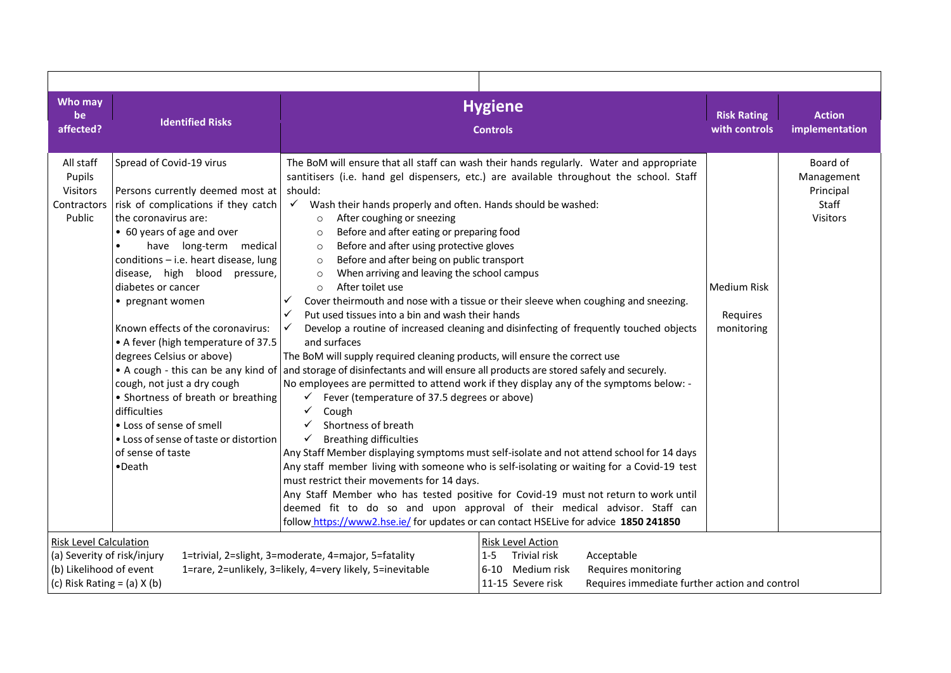| Who may<br>be<br>affected?                                                                                                                                                                                                                                 | <b>Identified Risks</b>                                                                                                                                                                                                                                                                                                                                                                                                                                                                                                                                                                                             |                                                                                                                                                                                                                                                                                                                                                                                                                                                                                                                                                                                                                                                                                                                                                                                                                                                                                                       | <b>Hygiene</b><br><b>Controls</b>                                                                                                                                                                                                                                                                                                                                                                                                                                                                                                                                                                                                                                                                                                                                                                                                                                                                                    | <b>Risk Rating</b><br>with controls          | <b>Action</b><br>implementation                          |
|------------------------------------------------------------------------------------------------------------------------------------------------------------------------------------------------------------------------------------------------------------|---------------------------------------------------------------------------------------------------------------------------------------------------------------------------------------------------------------------------------------------------------------------------------------------------------------------------------------------------------------------------------------------------------------------------------------------------------------------------------------------------------------------------------------------------------------------------------------------------------------------|-------------------------------------------------------------------------------------------------------------------------------------------------------------------------------------------------------------------------------------------------------------------------------------------------------------------------------------------------------------------------------------------------------------------------------------------------------------------------------------------------------------------------------------------------------------------------------------------------------------------------------------------------------------------------------------------------------------------------------------------------------------------------------------------------------------------------------------------------------------------------------------------------------|----------------------------------------------------------------------------------------------------------------------------------------------------------------------------------------------------------------------------------------------------------------------------------------------------------------------------------------------------------------------------------------------------------------------------------------------------------------------------------------------------------------------------------------------------------------------------------------------------------------------------------------------------------------------------------------------------------------------------------------------------------------------------------------------------------------------------------------------------------------------------------------------------------------------|----------------------------------------------|----------------------------------------------------------|
| All staff<br>Pupils<br>Visitors<br>Contractors<br>Public                                                                                                                                                                                                   | Spread of Covid-19 virus<br>Persons currently deemed most at<br>risk of complications if they catch<br>the coronavirus are:<br>• 60 years of age and over<br>have long-term medical<br>conditions - i.e. heart disease, lung<br>disease, high blood pressure,<br>diabetes or cancer<br>• pregnant women<br>Known effects of the coronavirus:<br>• A fever (high temperature of 37.5<br>degrees Celsius or above)<br>cough, not just a dry cough<br>• Shortness of breath or breathing<br>difficulties<br>• Loss of sense of smell<br>• Loss of sense of taste or distortion<br>of sense of taste<br>$\bullet$ Death | should:<br>$\checkmark$ Wash their hands properly and often. Hands should be washed:<br>After coughing or sneezing<br>$\circ$<br>Before and after eating or preparing food<br>$\circ$<br>Before and after using protective gloves<br>$\circ$<br>Before and after being on public transport<br>$\circ$<br>When arriving and leaving the school campus<br>$\circ$<br>After toilet use<br>$\circ$<br>✓<br>Put used tissues into a bin and wash their hands<br>✓<br>and surfaces<br>The BoM will supply required cleaning products, will ensure the correct use<br>• A cough - this can be any kind of and storage of disinfectants and will ensure all products are stored safely and securely.<br>Fever (temperature of 37.5 degrees or above)<br>✓<br>✓<br>Cough<br>$\checkmark$<br>Shortness of breath<br>$\checkmark$<br><b>Breathing difficulties</b><br>must restrict their movements for 14 days. | The BoM will ensure that all staff can wash their hands regularly. Water and appropriate<br>santitisers (i.e. hand gel dispensers, etc.) are available throughout the school. Staff<br>Cover theirmouth and nose with a tissue or their sleeve when coughing and sneezing.<br>Develop a routine of increased cleaning and disinfecting of frequently touched objects<br>No employees are permitted to attend work if they display any of the symptoms below: -<br>Any Staff Member displaying symptoms must self-isolate and not attend school for 14 days<br>Any staff member living with someone who is self-isolating or waiting for a Covid-19 test<br>Any Staff Member who has tested positive for Covid-19 must not return to work until<br>deemed fit to do so and upon approval of their medical advisor. Staff can<br>follow https://www2.hse.ie/ for updates or can contact HSELive for advice 1850 241850 | <b>Medium Risk</b><br>Requires<br>monitoring | Board of<br>Management<br>Principal<br>Staff<br>Visitors |
| <b>Risk Level Calculation</b><br>(a) Severity of risk/injury<br>1=trivial, 2=slight, 3=moderate, 4=major, 5=fatality<br>$1 - 5$<br>(b) Likelihood of event<br>1=rare, 2=unlikely, 3=likely, 4=very likely, 5=inevitable<br>(c) Risk Rating = $(a)$ X $(b)$ |                                                                                                                                                                                                                                                                                                                                                                                                                                                                                                                                                                                                                     |                                                                                                                                                                                                                                                                                                                                                                                                                                                                                                                                                                                                                                                                                                                                                                                                                                                                                                       | Risk Level Action<br>Trivial risk<br>Acceptable<br>6-10 Medium risk<br>Requires monitoring<br>Requires immediate further action and control<br>11-15 Severe risk                                                                                                                                                                                                                                                                                                                                                                                                                                                                                                                                                                                                                                                                                                                                                     |                                              |                                                          |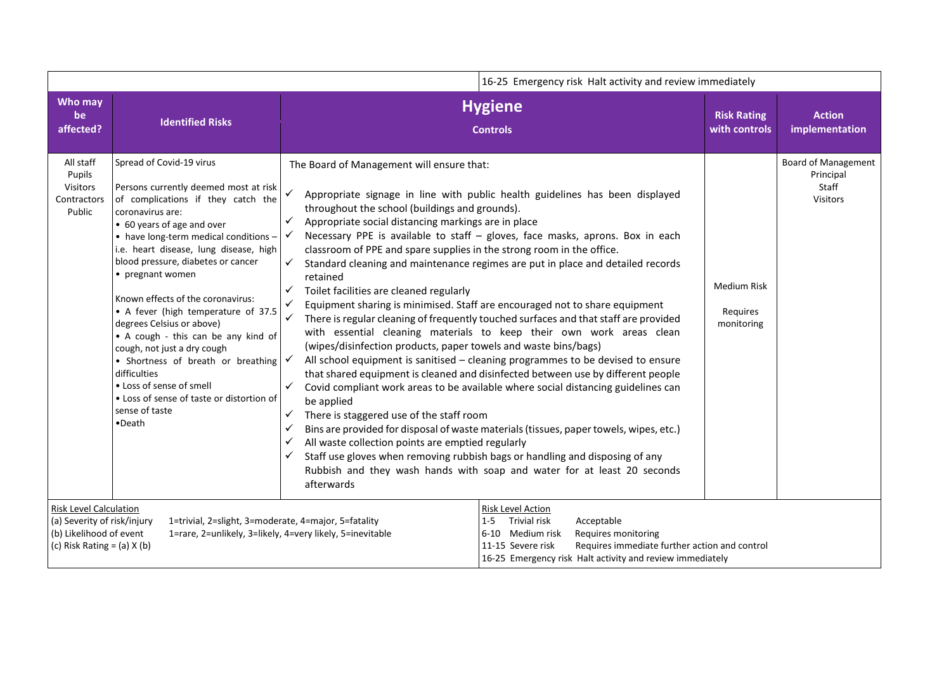|                                                                                                                                                                                                                                                 | 16-25 Emergency risk Halt activity and review immediately                                                                                                                                                                                                                                                                                                                                                                                                                                                                                                                                                                                        |                                                                                                                                                                                                                                                                                                                                                                                                                                                                                                                                             |                                                                                                                                                                                                                                                                                                                                                                                                                                                                                                                                                                                                                                                                                                                                                                                                                                                                                                                                                                                                                  |                                              |                                                                     |  |
|-------------------------------------------------------------------------------------------------------------------------------------------------------------------------------------------------------------------------------------------------|--------------------------------------------------------------------------------------------------------------------------------------------------------------------------------------------------------------------------------------------------------------------------------------------------------------------------------------------------------------------------------------------------------------------------------------------------------------------------------------------------------------------------------------------------------------------------------------------------------------------------------------------------|---------------------------------------------------------------------------------------------------------------------------------------------------------------------------------------------------------------------------------------------------------------------------------------------------------------------------------------------------------------------------------------------------------------------------------------------------------------------------------------------------------------------------------------------|------------------------------------------------------------------------------------------------------------------------------------------------------------------------------------------------------------------------------------------------------------------------------------------------------------------------------------------------------------------------------------------------------------------------------------------------------------------------------------------------------------------------------------------------------------------------------------------------------------------------------------------------------------------------------------------------------------------------------------------------------------------------------------------------------------------------------------------------------------------------------------------------------------------------------------------------------------------------------------------------------------------|----------------------------------------------|---------------------------------------------------------------------|--|
| Who may<br>be<br>affected?                                                                                                                                                                                                                      | <b>Identified Risks</b>                                                                                                                                                                                                                                                                                                                                                                                                                                                                                                                                                                                                                          |                                                                                                                                                                                                                                                                                                                                                                                                                                                                                                                                             | <b>Hygiene</b><br><b>Controls</b>                                                                                                                                                                                                                                                                                                                                                                                                                                                                                                                                                                                                                                                                                                                                                                                                                                                                                                                                                                                | <b>Risk Rating</b><br>with controls          | <b>Action</b><br>implementation                                     |  |
| All staff<br>Pupils<br><b>Visitors</b><br>Contractors<br>Public                                                                                                                                                                                 | Spread of Covid-19 virus<br>Persons currently deemed most at risk<br>of complications if they catch the<br>coronavirus are:<br>• 60 years of age and over<br>• have long-term medical conditions -<br>i.e. heart disease, lung disease, high<br>blood pressure, diabetes or cancer<br>• pregnant women<br>Known effects of the coronavirus:<br>• A fever (high temperature of 37.5<br>degrees Celsius or above)<br>• A cough - this can be any kind of<br>cough, not just a dry cough<br>• Shortness of breath or breathing<br>difficulties<br>• Loss of sense of smell<br>• Loss of sense of taste or distortion of<br>sense of taste<br>•Death | The Board of Management will ensure that:<br>throughout the school (buildings and grounds).<br>Appropriate social distancing markings are in place<br>✓<br>classroom of PPE and spare supplies in the strong room in the office.<br>✓<br>retained<br>Toilet facilities are cleaned regularly<br>✓<br>(wipes/disinfection products, paper towels and waste bins/bags)<br>be applied<br>There is staggered use of the staff room<br>✓<br>$\checkmark$<br>All waste collection points are emptied regularly<br>$\checkmark$<br>✓<br>afterwards | Appropriate signage in line with public health guidelines has been displayed<br>Necessary PPE is available to staff - gloves, face masks, aprons. Box in each<br>Standard cleaning and maintenance regimes are put in place and detailed records<br>Equipment sharing is minimised. Staff are encouraged not to share equipment<br>There is regular cleaning of frequently touched surfaces and that staff are provided<br>with essential cleaning materials to keep their own work areas clean<br>All school equipment is sanitised - cleaning programmes to be devised to ensure<br>that shared equipment is cleaned and disinfected between use by different people<br>Covid compliant work areas to be available where social distancing guidelines can<br>Bins are provided for disposal of waste materials (tissues, paper towels, wipes, etc.)<br>Staff use gloves when removing rubbish bags or handling and disposing of any<br>Rubbish and they wash hands with soap and water for at least 20 seconds | <b>Medium Risk</b><br>Requires<br>monitoring | <b>Board of Management</b><br>Principal<br>Staff<br><b>Visitors</b> |  |
| <b>Risk Level Calculation</b><br>(a) Severity of risk/injury<br>1=trivial, 2=slight, 3=moderate, 4=major, 5=fatality<br>(b) Likelihood of event<br>1=rare, 2=unlikely, 3=likely, 4=very likely, 5=inevitable<br>(c) Risk Rating = $(a)$ X $(b)$ |                                                                                                                                                                                                                                                                                                                                                                                                                                                                                                                                                                                                                                                  | Risk Level Action<br>Trivial risk<br>Acceptable<br>$1 - 5$<br>6-10 Medium risk<br>Requires monitoring<br>Requires immediate further action and control<br>11-15 Severe risk<br>16-25 Emergency risk Halt activity and review immediately                                                                                                                                                                                                                                                                                                    |                                                                                                                                                                                                                                                                                                                                                                                                                                                                                                                                                                                                                                                                                                                                                                                                                                                                                                                                                                                                                  |                                              |                                                                     |  |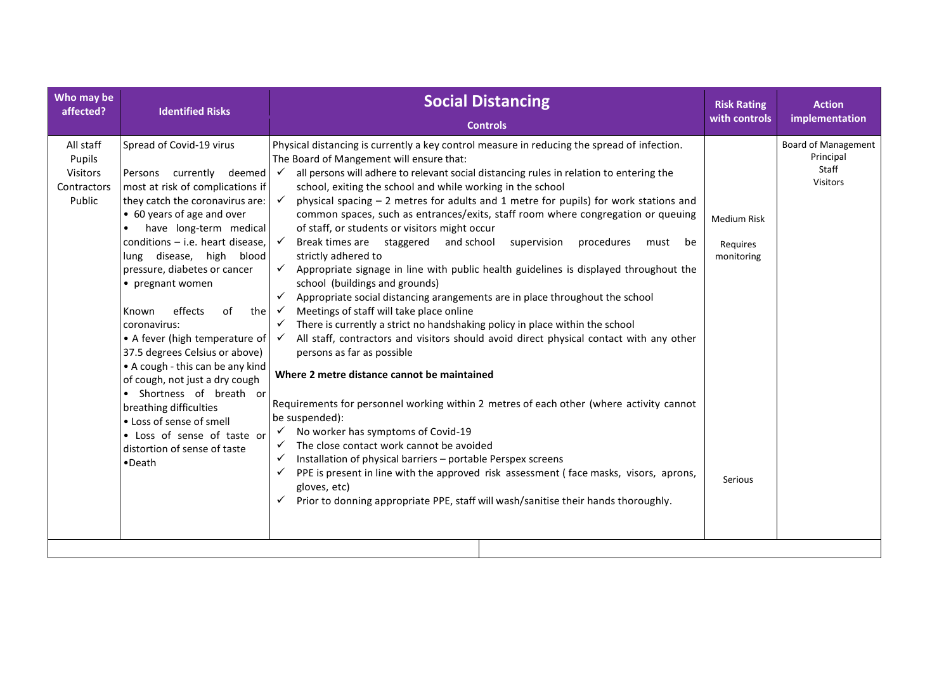| Who may be                                               | <b>Identified Risks</b>                                                                                                                                                                                                                                                                                                                                                                                                                                                                                                                                                                                                                                                              | <b>Social Distancing</b>                                                                                                                                                                                                                                                                                                                                                                                                                                                                                                                                                                                                                                                                                                                                                                                                                                                                                                                                                                                                                                                                                                                                                                                                                                                                                                                                                                                                                                                                                                                                                                                                                                                                                                                                                  | <b>Risk Rating</b>                                      | <b>Action</b>                                                       |
|----------------------------------------------------------|--------------------------------------------------------------------------------------------------------------------------------------------------------------------------------------------------------------------------------------------------------------------------------------------------------------------------------------------------------------------------------------------------------------------------------------------------------------------------------------------------------------------------------------------------------------------------------------------------------------------------------------------------------------------------------------|---------------------------------------------------------------------------------------------------------------------------------------------------------------------------------------------------------------------------------------------------------------------------------------------------------------------------------------------------------------------------------------------------------------------------------------------------------------------------------------------------------------------------------------------------------------------------------------------------------------------------------------------------------------------------------------------------------------------------------------------------------------------------------------------------------------------------------------------------------------------------------------------------------------------------------------------------------------------------------------------------------------------------------------------------------------------------------------------------------------------------------------------------------------------------------------------------------------------------------------------------------------------------------------------------------------------------------------------------------------------------------------------------------------------------------------------------------------------------------------------------------------------------------------------------------------------------------------------------------------------------------------------------------------------------------------------------------------------------------------------------------------------------|---------------------------------------------------------|---------------------------------------------------------------------|
| affected?                                                |                                                                                                                                                                                                                                                                                                                                                                                                                                                                                                                                                                                                                                                                                      | <b>Controls</b>                                                                                                                                                                                                                                                                                                                                                                                                                                                                                                                                                                                                                                                                                                                                                                                                                                                                                                                                                                                                                                                                                                                                                                                                                                                                                                                                                                                                                                                                                                                                                                                                                                                                                                                                                           | with controls                                           | implementation                                                      |
| All staff<br>Pupils<br>Visitors<br>Contractors<br>Public | Spread of Covid-19 virus<br>Persons currently deemed<br>most at risk of complications if<br>they catch the coronavirus are:<br>• 60 years of age and over<br>have long-term medical<br>conditions $-$ i.e. heart disease,<br>lung disease, high blood<br>pressure, diabetes or cancer<br>• pregnant women<br>effects<br>of<br>the<br>Known<br>coronavirus:<br>• A fever (high temperature of $\sqrt{\phantom{a}}$<br>37.5 degrees Celsius or above)<br>• A cough - this can be any kind<br>of cough, not just a dry cough<br>• Shortness of breath or<br>breathing difficulties<br>• Loss of sense of smell<br>• Loss of sense of taste or<br>distortion of sense of taste<br>•Death | Physical distancing is currently a key control measure in reducing the spread of infection.<br>The Board of Mangement will ensure that:<br>all persons will adhere to relevant social distancing rules in relation to entering the<br>$\checkmark$<br>school, exiting the school and while working in the school<br>physical spacing $-2$ metres for adults and 1 metre for pupils) for work stations and<br>$\checkmark$<br>common spaces, such as entrances/exits, staff room where congregation or queuing<br>of staff, or students or visitors might occur<br>$\checkmark$<br>Break times are staggered and school supervision<br>procedures<br>must be<br>strictly adhered to<br>Appropriate signage in line with public health guidelines is displayed throughout the<br>$\checkmark$<br>school (buildings and grounds)<br>Appropriate social distancing arangements are in place throughout the school<br>Meetings of staff will take place online<br>$\checkmark$<br>There is currently a strict no handshaking policy in place within the school<br>✓<br>All staff, contractors and visitors should avoid direct physical contact with any other<br>persons as far as possible<br>Where 2 metre distance cannot be maintained<br>Requirements for personnel working within 2 metres of each other (where activity cannot<br>be suspended):<br>No worker has symptoms of Covid-19<br>$\checkmark$<br>The close contact work cannot be avoided<br>$\checkmark$<br>Installation of physical barriers - portable Perspex screens<br>$\checkmark$<br>PPE is present in line with the approved risk assessment (face masks, visors, aprons,<br>✓<br>gloves, etc)<br>Prior to donning appropriate PPE, staff will wash/sanitise their hands thoroughly.<br>$\checkmark$ | <b>Medium Risk</b><br>Requires<br>monitoring<br>Serious | <b>Board of Management</b><br>Principal<br>Staff<br><b>Visitors</b> |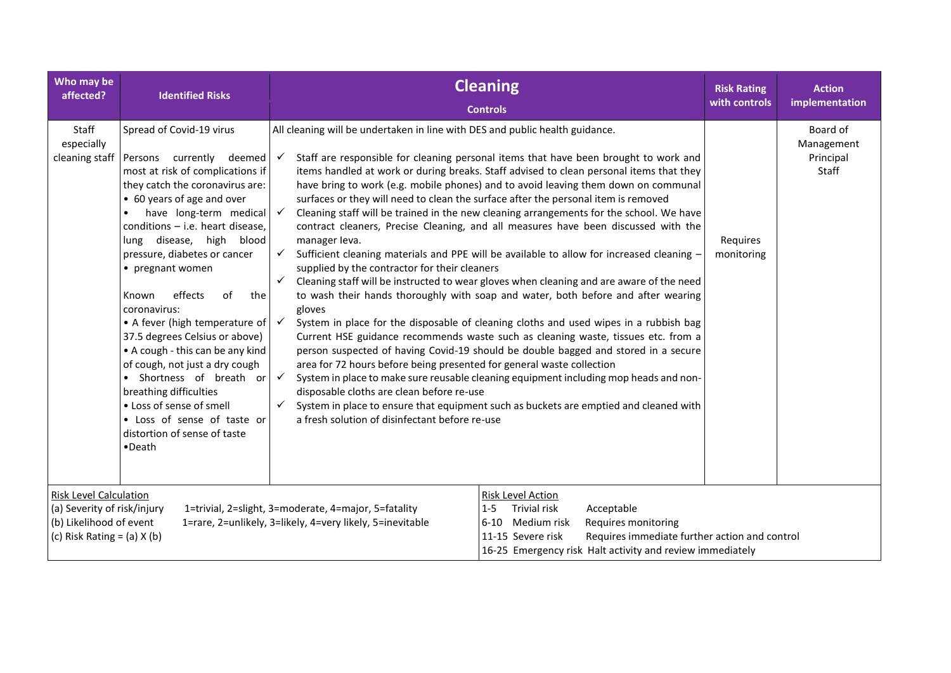| Who may be<br>affected?                                                                                                                                                                                                                         | <b>Identified Risks</b>                                                                                                                                                                                                                                                                                                                                                                                                                                                                                                                                                                                                                                             |                                                                                                                                                                                                                                                                                                                                                                                                                                  | <b>Cleaning</b><br><b>Controls</b>                                                                                                                                                                                                                                                                                                                                                                                                                                                                                                                                                                                                                                                                                                                                                                                                                                                                                                                                                                                                                                                                                                                                                                                                                                               | <b>Risk Rating</b><br>with controls | <b>Action</b><br>implementation              |
|-------------------------------------------------------------------------------------------------------------------------------------------------------------------------------------------------------------------------------------------------|---------------------------------------------------------------------------------------------------------------------------------------------------------------------------------------------------------------------------------------------------------------------------------------------------------------------------------------------------------------------------------------------------------------------------------------------------------------------------------------------------------------------------------------------------------------------------------------------------------------------------------------------------------------------|----------------------------------------------------------------------------------------------------------------------------------------------------------------------------------------------------------------------------------------------------------------------------------------------------------------------------------------------------------------------------------------------------------------------------------|----------------------------------------------------------------------------------------------------------------------------------------------------------------------------------------------------------------------------------------------------------------------------------------------------------------------------------------------------------------------------------------------------------------------------------------------------------------------------------------------------------------------------------------------------------------------------------------------------------------------------------------------------------------------------------------------------------------------------------------------------------------------------------------------------------------------------------------------------------------------------------------------------------------------------------------------------------------------------------------------------------------------------------------------------------------------------------------------------------------------------------------------------------------------------------------------------------------------------------------------------------------------------------|-------------------------------------|----------------------------------------------|
| Staff<br>especially<br>cleaning staff                                                                                                                                                                                                           | Spread of Covid-19 virus<br>Persons currently deemed<br>most at risk of complications if<br>they catch the coronavirus are:<br>• 60 years of age and over<br>have long-term medical<br>conditions - i.e. heart disease,<br>disease, high<br>blood<br>lung<br>pressure, diabetes or cancer<br>• pregnant women<br>effects<br>of<br>the<br>Known<br>coronavirus:<br>• A fever (high temperature of<br>37.5 degrees Celsius or above)<br>• A cough - this can be any kind<br>of cough, not just a dry cough<br>· Shortness of breath or<br>breathing difficulties<br>• Loss of sense of smell<br>• Loss of sense of taste or<br>distortion of sense of taste<br>•Death | All cleaning will be undertaken in line with DES and public health guidance.<br>$\checkmark$<br>manager leva.<br>$\checkmark$<br>supplied by the contractor for their cleaners<br>$\checkmark$<br>gloves<br>$\checkmark$<br>area for 72 hours before being presented for general waste collection<br>$\checkmark$<br>disposable cloths are clean before re-use<br>$\checkmark$<br>a fresh solution of disinfectant before re-use | Staff are responsible for cleaning personal items that have been brought to work and<br>items handled at work or during breaks. Staff advised to clean personal items that they<br>have bring to work (e.g. mobile phones) and to avoid leaving them down on communal<br>surfaces or they will need to clean the surface after the personal item is removed<br>Cleaning staff will be trained in the new cleaning arrangements for the school. We have<br>contract cleaners, Precise Cleaning, and all measures have been discussed with the<br>Sufficient cleaning materials and PPE will be available to allow for increased cleaning -<br>Cleaning staff will be instructed to wear gloves when cleaning and are aware of the need<br>to wash their hands thoroughly with soap and water, both before and after wearing<br>System in place for the disposable of cleaning cloths and used wipes in a rubbish bag<br>Current HSE guidance recommends waste such as cleaning waste, tissues etc. from a<br>person suspected of having Covid-19 should be double bagged and stored in a secure<br>System in place to make sure reusable cleaning equipment including mop heads and non-<br>System in place to ensure that equipment such as buckets are emptied and cleaned with | Requires<br>monitoring              | Board of<br>Management<br>Principal<br>Staff |
| <b>Risk Level Calculation</b><br>(a) Severity of risk/injury<br>1=trivial, 2=slight, 3=moderate, 4=major, 5=fatality<br>(b) Likelihood of event<br>1=rare, 2=unlikely, 3=likely, 4=very likely, 5=inevitable<br>(c) Risk Rating = $(a)$ X $(b)$ |                                                                                                                                                                                                                                                                                                                                                                                                                                                                                                                                                                                                                                                                     | Risk Level Action<br>Trivial risk<br>Acceptable<br>$1 - 5$<br>6-10 Medium risk<br>Requires monitoring<br>11-15 Severe risk<br>Requires immediate further action and control<br>16-25 Emergency risk Halt activity and review immediately                                                                                                                                                                                         |                                                                                                                                                                                                                                                                                                                                                                                                                                                                                                                                                                                                                                                                                                                                                                                                                                                                                                                                                                                                                                                                                                                                                                                                                                                                                  |                                     |                                              |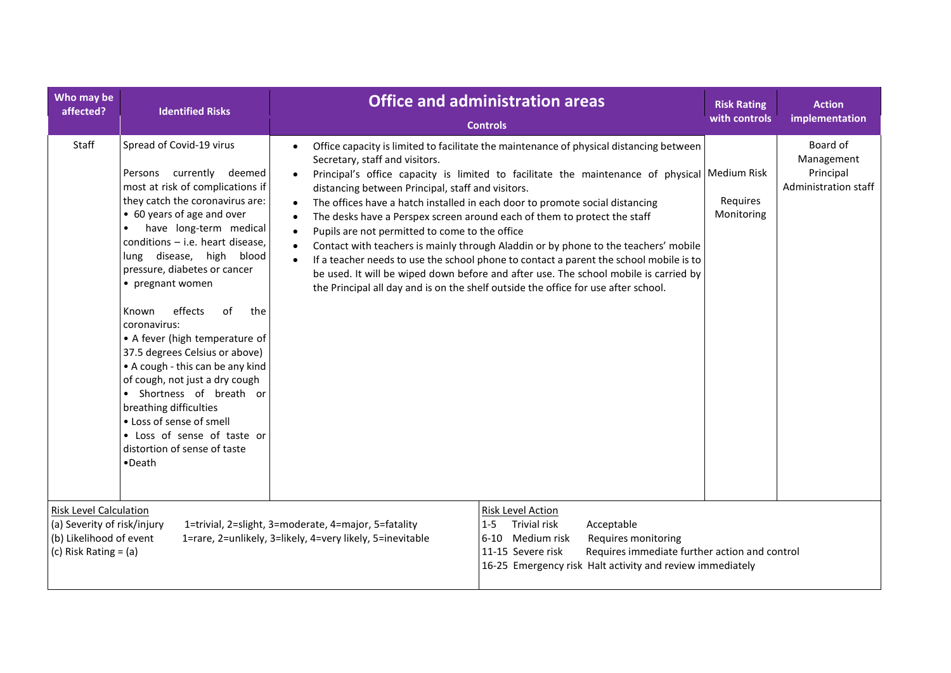| Who may be<br>affected?                                                                                                                                                                                                                 | <b>Identified Risks</b>                                                                                                                                                                                                                                                                                                                                                                                                                                                                                                                                                                                                                                         |                                                                                                                                                                                                                                                        | <b>Office and administration areas</b><br><b>Controls</b>                                                                                                                                                                                                                                                                                                                                                                                                                                                                                                                                                                                                                                                          | <b>Risk Rating</b><br>with controls | <b>Action</b><br>implementation                             |
|-----------------------------------------------------------------------------------------------------------------------------------------------------------------------------------------------------------------------------------------|-----------------------------------------------------------------------------------------------------------------------------------------------------------------------------------------------------------------------------------------------------------------------------------------------------------------------------------------------------------------------------------------------------------------------------------------------------------------------------------------------------------------------------------------------------------------------------------------------------------------------------------------------------------------|--------------------------------------------------------------------------------------------------------------------------------------------------------------------------------------------------------------------------------------------------------|--------------------------------------------------------------------------------------------------------------------------------------------------------------------------------------------------------------------------------------------------------------------------------------------------------------------------------------------------------------------------------------------------------------------------------------------------------------------------------------------------------------------------------------------------------------------------------------------------------------------------------------------------------------------------------------------------------------------|-------------------------------------|-------------------------------------------------------------|
| Staff                                                                                                                                                                                                                                   | Spread of Covid-19 virus<br>Persons currently deemed<br>most at risk of complications if<br>they catch the coronavirus are:<br>• 60 years of age and over<br>have long-term medical<br>conditions $-$ i.e. heart disease,<br>lung disease, high blood<br>pressure, diabetes or cancer<br>• pregnant women<br>effects<br>οf<br>the<br>Known<br>coronavirus:<br>• A fever (high temperature of<br>37.5 degrees Celsius or above)<br>• A cough - this can be any kind<br>of cough, not just a dry cough<br>• Shortness of breath or<br>breathing difficulties<br>• Loss of sense of smell<br>• Loss of sense of taste or<br>distortion of sense of taste<br>•Death | Secretary, staff and visitors.<br>distancing between Principal, staff and visitors.<br>Pupils are not permitted to come to the office<br>$\bullet$                                                                                                     | Office capacity is limited to facilitate the maintenance of physical distancing between<br>Principal's office capacity is limited to facilitate the maintenance of physical Medium Risk<br>The offices have a hatch installed in each door to promote social distancing<br>The desks have a Perspex screen around each of them to protect the staff<br>Contact with teachers is mainly through Aladdin or by phone to the teachers' mobile<br>If a teacher needs to use the school phone to contact a parent the school mobile is to<br>be used. It will be wiped down before and after use. The school mobile is carried by<br>the Principal all day and is on the shelf outside the office for use after school. | Requires<br>Monitoring              | Board of<br>Management<br>Principal<br>Administration staff |
| <b>Risk Level Calculation</b><br>(a) Severity of risk/injury<br>1=trivial, 2=slight, 3=moderate, 4=major, 5=fatality<br>(b) Likelihood of event<br>1=rare, 2=unlikely, 3=likely, 4=very likely, 5=inevitable<br>(c) Risk Rating $=$ (a) |                                                                                                                                                                                                                                                                                                                                                                                                                                                                                                                                                                                                                                                                 | <b>Risk Level Action</b><br><b>Trivial risk</b><br>Acceptable<br>$1 - 5$<br>6-10 Medium risk<br>Requires monitoring<br>Requires immediate further action and control<br>11-15 Severe risk<br>16-25 Emergency risk Halt activity and review immediately |                                                                                                                                                                                                                                                                                                                                                                                                                                                                                                                                                                                                                                                                                                                    |                                     |                                                             |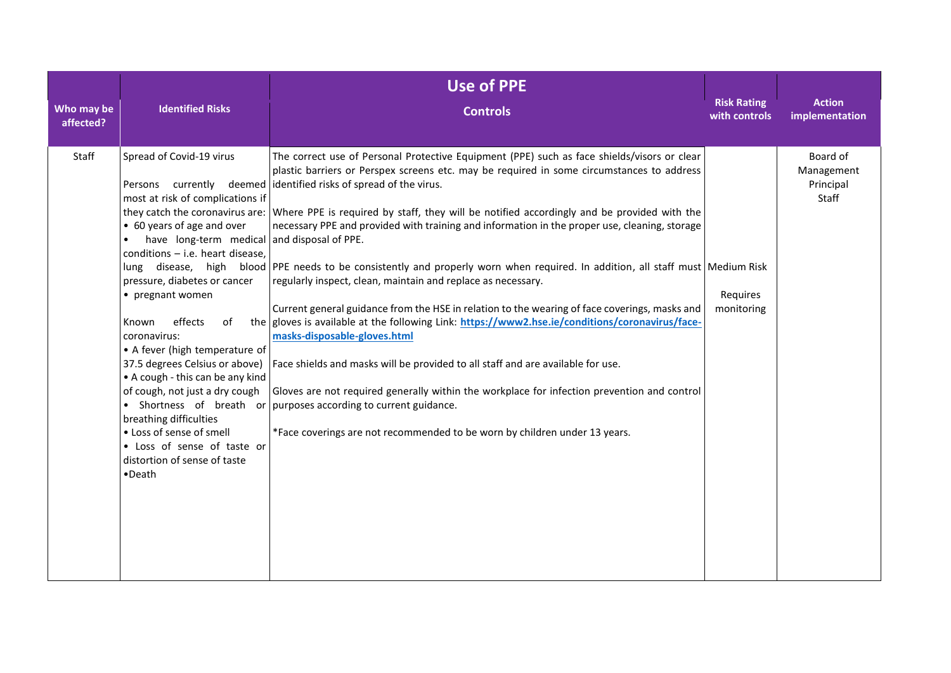| Who may be | <b>Identified Risks</b>                                                                                                                                                                                                                                                                                                                                                                                                                                                                                                                              | <b>Use of PPE</b><br><b>Controls</b>                                                                                                                                                                                                                                                                                                                                                                                                                                                                                                                                                                                                                                                                                                                                                                                                                                                                                                                                                                                                                                                                                                                                                                                                                                   | <b>Risk Rating</b>     | <b>Action</b>                                |
|------------|------------------------------------------------------------------------------------------------------------------------------------------------------------------------------------------------------------------------------------------------------------------------------------------------------------------------------------------------------------------------------------------------------------------------------------------------------------------------------------------------------------------------------------------------------|------------------------------------------------------------------------------------------------------------------------------------------------------------------------------------------------------------------------------------------------------------------------------------------------------------------------------------------------------------------------------------------------------------------------------------------------------------------------------------------------------------------------------------------------------------------------------------------------------------------------------------------------------------------------------------------------------------------------------------------------------------------------------------------------------------------------------------------------------------------------------------------------------------------------------------------------------------------------------------------------------------------------------------------------------------------------------------------------------------------------------------------------------------------------------------------------------------------------------------------------------------------------|------------------------|----------------------------------------------|
| affected?  |                                                                                                                                                                                                                                                                                                                                                                                                                                                                                                                                                      |                                                                                                                                                                                                                                                                                                                                                                                                                                                                                                                                                                                                                                                                                                                                                                                                                                                                                                                                                                                                                                                                                                                                                                                                                                                                        | with controls          | implementation                               |
| Staff      | Spread of Covid-19 virus<br>most at risk of complications if<br>• 60 years of age and over<br>have long-term medical and disposal of PPE.<br>conditions - i.e. heart disease,<br>pressure, diabetes or cancer<br>• pregnant women<br>effects<br>of<br>Known<br>coronavirus:<br>• A fever (high temperature of<br>37.5 degrees Celsius or above)<br>• A cough - this can be any kind<br>of cough, not just a dry cough<br>breathing difficulties<br>• Loss of sense of smell<br>• Loss of sense of taste or<br>distortion of sense of taste<br>•Death | The correct use of Personal Protective Equipment (PPE) such as face shields/visors or clear<br>plastic barriers or Perspex screens etc. may be required in some circumstances to address<br>Persons currently deemed identified risks of spread of the virus.<br>they catch the coronavirus are: Where PPE is required by staff, they will be notified accordingly and be provided with the<br>necessary PPE and provided with training and information in the proper use, cleaning, storage<br>lung disease, high blood PPE needs to be consistently and properly worn when required. In addition, all staff must Medium Risk<br>regularly inspect, clean, maintain and replace as necessary.<br>Current general guidance from the HSE in relation to the wearing of face coverings, masks and<br>the gloves is available at the following Link: https://www2.hse.ie/conditions/coronavirus/face-<br>masks-disposable-gloves.html<br>Face shields and masks will be provided to all staff and are available for use.<br>Gloves are not required generally within the workplace for infection prevention and control<br>• Shortness of breath or purposes according to current guidance.<br>*Face coverings are not recommended to be worn by children under 13 years. | Requires<br>monitoring | Board of<br>Management<br>Principal<br>Staff |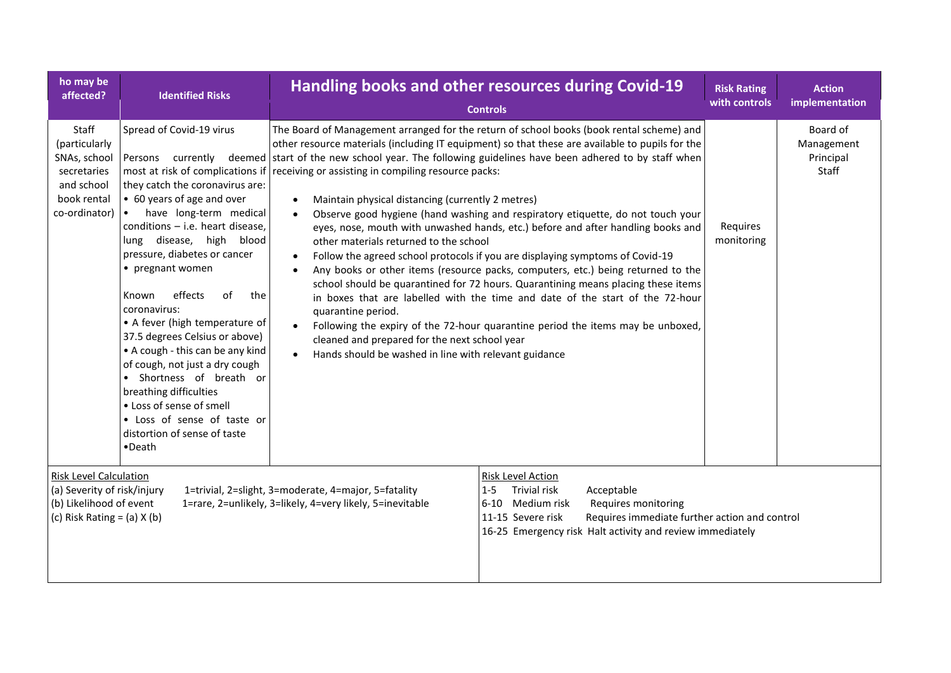| ho may be<br>affected?                                                                                              | <b>Identified Risks</b>                                                                                                                                                                                                                                                                                                                                                                                                                                                                                                                                                                                                  |                                                                                                                                                                                                                                                                                                                                                                         | <b>Handling books and other resources during Covid-19</b><br><b>Controls</b>                                                                                                                                                                                                                                                                                                                                                                                                                                                                                                                                                                                                                                                                                                                                                                                                                                           | <b>Risk Rating</b><br>with controls | <b>Action</b><br>implementation              |
|---------------------------------------------------------------------------------------------------------------------|--------------------------------------------------------------------------------------------------------------------------------------------------------------------------------------------------------------------------------------------------------------------------------------------------------------------------------------------------------------------------------------------------------------------------------------------------------------------------------------------------------------------------------------------------------------------------------------------------------------------------|-------------------------------------------------------------------------------------------------------------------------------------------------------------------------------------------------------------------------------------------------------------------------------------------------------------------------------------------------------------------------|------------------------------------------------------------------------------------------------------------------------------------------------------------------------------------------------------------------------------------------------------------------------------------------------------------------------------------------------------------------------------------------------------------------------------------------------------------------------------------------------------------------------------------------------------------------------------------------------------------------------------------------------------------------------------------------------------------------------------------------------------------------------------------------------------------------------------------------------------------------------------------------------------------------------|-------------------------------------|----------------------------------------------|
| Staff<br>(particularly<br>SNAs, school<br>secretaries<br>and school<br>book rental<br>co-ordinator)                 | Spread of Covid-19 virus<br>they catch the coronavirus are:<br>• 60 years of age and over<br>have long-term medical<br>$\bullet$<br>conditions $-$ i.e. heart disease,<br>lung disease, high<br>blood<br>pressure, diabetes or cancer<br>• pregnant women<br>effects<br>Known<br>οf<br>the<br>coronavirus:<br>• A fever (high temperature of<br>37.5 degrees Celsius or above)<br>• A cough - this can be any kind<br>of cough, not just a dry cough<br>• Shortness of breath or<br>breathing difficulties<br>• Loss of sense of smell<br>• Loss of sense of taste or<br>distortion of sense of taste<br>$\bullet$ Death | most at risk of complications if receiving or assisting in compiling resource packs:<br>Maintain physical distancing (currently 2 metres)<br>$\bullet$<br>$\bullet$<br>other materials returned to the school<br>quarantine period.<br>$\bullet$<br>cleaned and prepared for the next school year<br>Hands should be washed in line with relevant guidance<br>$\bullet$ | The Board of Management arranged for the return of school books (book rental scheme) and<br>other resource materials (including IT equipment) so that these are available to pupils for the<br>Persons currently deemed start of the new school year. The following guidelines have been adhered to by staff when<br>Observe good hygiene (hand washing and respiratory etiquette, do not touch your<br>eyes, nose, mouth with unwashed hands, etc.) before and after handling books and<br>Follow the agreed school protocols if you are displaying symptoms of Covid-19<br>Any books or other items (resource packs, computers, etc.) being returned to the<br>school should be quarantined for 72 hours. Quarantining means placing these items<br>in boxes that are labelled with the time and date of the start of the 72-hour<br>Following the expiry of the 72-hour quarantine period the items may be unboxed, | Requires<br>monitoring              | Board of<br>Management<br>Principal<br>Staff |
| Risk Level Calculation<br>(a) Severity of risk/injury<br>(b) Likelihood of event<br>(c) Risk Rating = $(a)$ X $(b)$ |                                                                                                                                                                                                                                                                                                                                                                                                                                                                                                                                                                                                                          | 1=trivial, 2=slight, 3=moderate, 4=major, 5=fatality<br>1=rare, 2=unlikely, 3=likely, 4=very likely, 5=inevitable                                                                                                                                                                                                                                                       | <b>Risk Level Action</b><br><b>Trivial risk</b><br>$1 - 5$<br>Acceptable<br>6-10 Medium risk<br>Requires monitoring<br>11-15 Severe risk<br>Requires immediate further action and control<br>16-25 Emergency risk Halt activity and review immediately                                                                                                                                                                                                                                                                                                                                                                                                                                                                                                                                                                                                                                                                 |                                     |                                              |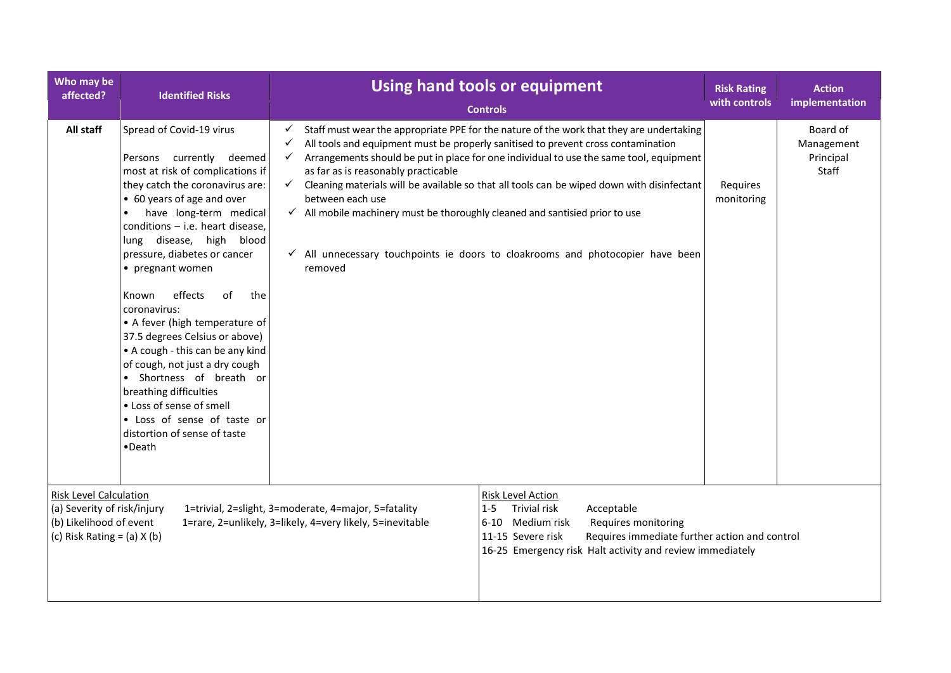| Who may be<br>affected?                                                                                                    | <b>Identified Risks</b>                                                                                                                                                                                                                                                                                                                                                                                                                                                                                                                                                                                                                                          | Using hand tools or equipment<br><b>Controls</b>                                                                                                                                                                                                                                                                                                                                                                                                                                                                                                                                                                                                        | <b>Risk Rating</b><br>with controls | <b>Action</b><br>implementation              |
|----------------------------------------------------------------------------------------------------------------------------|------------------------------------------------------------------------------------------------------------------------------------------------------------------------------------------------------------------------------------------------------------------------------------------------------------------------------------------------------------------------------------------------------------------------------------------------------------------------------------------------------------------------------------------------------------------------------------------------------------------------------------------------------------------|---------------------------------------------------------------------------------------------------------------------------------------------------------------------------------------------------------------------------------------------------------------------------------------------------------------------------------------------------------------------------------------------------------------------------------------------------------------------------------------------------------------------------------------------------------------------------------------------------------------------------------------------------------|-------------------------------------|----------------------------------------------|
| All staff                                                                                                                  | Spread of Covid-19 virus<br>Persons currently deemed<br>most at risk of complications if<br>they catch the coronavirus are:<br>• 60 years of age and over<br>have long-term medical<br>conditions - i.e. heart disease,<br>lung disease, high<br>blood<br>pressure, diabetes or cancer<br>• pregnant women<br>effects<br>of<br>Known<br>the<br>coronavirus:<br>• A fever (high temperature of<br>37.5 degrees Celsius or above)<br>• A cough - this can be any kind<br>of cough, not just a dry cough<br>• Shortness of breath or<br>breathing difficulties<br>• Loss of sense of smell<br>• Loss of sense of taste or<br>distortion of sense of taste<br>•Death | Staff must wear the appropriate PPE for the nature of the work that they are undertaking<br>✓<br>All tools and equipment must be properly sanitised to prevent cross contamination<br>✓<br>Arrangements should be put in place for one individual to use the same tool, equipment<br>✓<br>as far as is reasonably practicable<br>Cleaning materials will be available so that all tools can be wiped down with disinfectant<br>$\checkmark$<br>between each use<br>$\checkmark$ All mobile machinery must be thoroughly cleaned and santisied prior to use<br>√ All unnecessary touchpoints ie doors to cloakrooms and photocopier have been<br>removed | Requires<br>monitoring              | Board of<br>Management<br>Principal<br>Staff |
| <b>Risk Level Calculation</b><br>(a) Severity of risk/injury<br>(b) Likelihood of event<br>(c) Risk Rating = $(a)$ X $(b)$ |                                                                                                                                                                                                                                                                                                                                                                                                                                                                                                                                                                                                                                                                  | Risk Level Action<br><b>Trivial risk</b><br>Acceptable<br>1=trivial, 2=slight, 3=moderate, 4=major, 5=fatality<br>$1 - 5$<br>1=rare, 2=unlikely, 3=likely, 4=very likely, 5=inevitable<br>$6 - 10$<br>Medium risk<br>Requires monitoring<br>11-15 Severe risk<br>Requires immediate further action and control<br>16-25 Emergency risk Halt activity and review immediately                                                                                                                                                                                                                                                                             |                                     |                                              |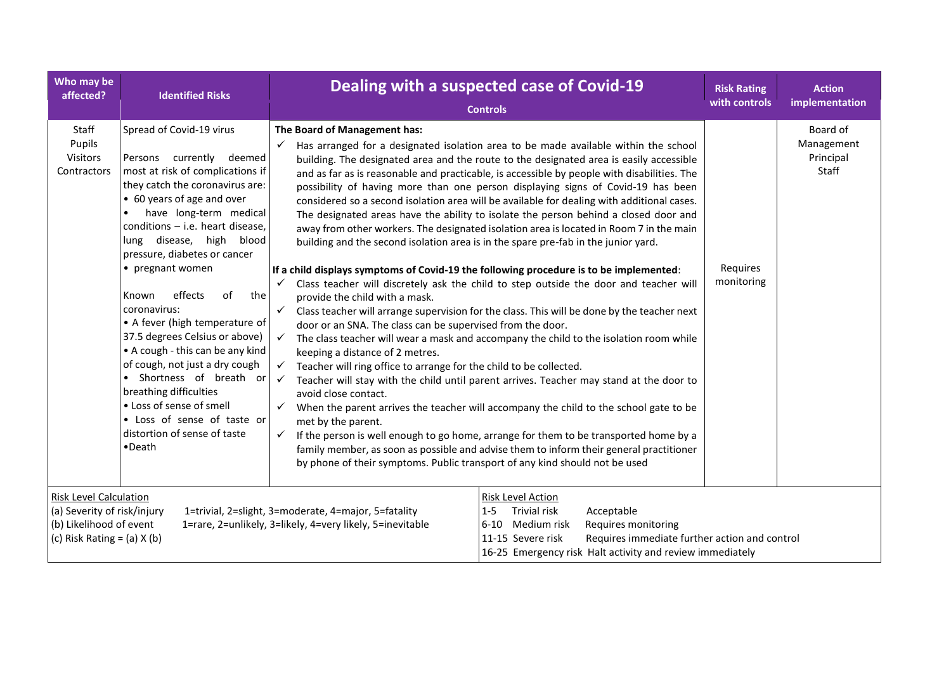| Who may be<br>affected?                                                                                                                                                                                                                         | <b>Identified Risks</b>                                                                                                                                                                                                                                                                                                                                                                                                                                                                                                                                                                                                                                            |                                                                                                                                                                                                                                                                                                                                                                                                                                                                                                                                                                                                                                                                                    | Dealing with a suspected case of Covid-19<br><b>Controls</b>                                                                                                                                                                                                                                                                                                                                                                                                                                                                                                                                                                                                                                                                                                                                                                                                                                                                                                                                                                                                                                                                                                                                                                                                                                                 | <b>Risk Rating</b><br>with controls | <b>Action</b><br>implementation              |
|-------------------------------------------------------------------------------------------------------------------------------------------------------------------------------------------------------------------------------------------------|--------------------------------------------------------------------------------------------------------------------------------------------------------------------------------------------------------------------------------------------------------------------------------------------------------------------------------------------------------------------------------------------------------------------------------------------------------------------------------------------------------------------------------------------------------------------------------------------------------------------------------------------------------------------|------------------------------------------------------------------------------------------------------------------------------------------------------------------------------------------------------------------------------------------------------------------------------------------------------------------------------------------------------------------------------------------------------------------------------------------------------------------------------------------------------------------------------------------------------------------------------------------------------------------------------------------------------------------------------------|--------------------------------------------------------------------------------------------------------------------------------------------------------------------------------------------------------------------------------------------------------------------------------------------------------------------------------------------------------------------------------------------------------------------------------------------------------------------------------------------------------------------------------------------------------------------------------------------------------------------------------------------------------------------------------------------------------------------------------------------------------------------------------------------------------------------------------------------------------------------------------------------------------------------------------------------------------------------------------------------------------------------------------------------------------------------------------------------------------------------------------------------------------------------------------------------------------------------------------------------------------------------------------------------------------------|-------------------------------------|----------------------------------------------|
| Staff<br>Pupils<br><b>Visitors</b><br>Contractors                                                                                                                                                                                               | Spread of Covid-19 virus<br>Persons currently deemed<br>most at risk of complications if<br>they catch the coronavirus are:<br>• 60 years of age and over<br>have long-term medical<br>conditions $-$ i.e. heart disease,<br>lung disease, high<br>blood<br>pressure, diabetes or cancer<br>• pregnant women<br>effects<br>of<br>Known<br>the<br>coronavirus:<br>• A fever (high temperature of<br>37.5 degrees Celsius or above)<br>• A cough - this can be any kind<br>of cough, not just a dry cough<br>• Shortness of breath or<br>breathing difficulties<br>• Loss of sense of smell<br>• Loss of sense of taste or<br>distortion of sense of taste<br>•Death | The Board of Management has:<br>$\checkmark$<br>building and the second isolation area is in the spare pre-fab in the junior yard.<br>If a child displays symptoms of Covid-19 the following procedure is to be implemented:<br>$\checkmark$<br>provide the child with a mask.<br>$\checkmark$<br>door or an SNA. The class can be supervised from the door.<br>$\checkmark$<br>keeping a distance of 2 metres.<br>Teacher will ring office to arrange for the child to be collected.<br>$\checkmark$<br>$\checkmark$<br>avoid close contact.<br>$\checkmark$<br>met by the parent.<br>$\checkmark$<br>by phone of their symptoms. Public transport of any kind should not be used | Has arranged for a designated isolation area to be made available within the school<br>building. The designated area and the route to the designated area is easily accessible<br>and as far as is reasonable and practicable, is accessible by people with disabilities. The<br>possibility of having more than one person displaying signs of Covid-19 has been<br>considered so a second isolation area will be available for dealing with additional cases.<br>The designated areas have the ability to isolate the person behind a closed door and<br>away from other workers. The designated isolation area is located in Room 7 in the main<br>Class teacher will discretely ask the child to step outside the door and teacher will<br>Class teacher will arrange supervision for the class. This will be done by the teacher next<br>The class teacher will wear a mask and accompany the child to the isolation room while<br>Teacher will stay with the child until parent arrives. Teacher may stand at the door to<br>When the parent arrives the teacher will accompany the child to the school gate to be<br>If the person is well enough to go home, arrange for them to be transported home by a<br>family member, as soon as possible and advise them to inform their general practitioner | Requires<br>monitoring              | Board of<br>Management<br>Principal<br>Staff |
| <b>Risk Level Calculation</b><br>(a) Severity of risk/injury<br>1=trivial, 2=slight, 3=moderate, 4=major, 5=fatality<br>(b) Likelihood of event<br>1=rare, 2=unlikely, 3=likely, 4=very likely, 5=inevitable<br>(c) Risk Rating = $(a)$ X $(b)$ |                                                                                                                                                                                                                                                                                                                                                                                                                                                                                                                                                                                                                                                                    | <b>Risk Level Action</b><br>Trivial risk<br>$1 - 5$<br>Acceptable<br>6-10 Medium risk<br>Requires monitoring<br>11-15 Severe risk<br>Requires immediate further action and control<br>16-25 Emergency risk Halt activity and review immediately                                                                                                                                                                                                                                                                                                                                                                                                                                    |                                                                                                                                                                                                                                                                                                                                                                                                                                                                                                                                                                                                                                                                                                                                                                                                                                                                                                                                                                                                                                                                                                                                                                                                                                                                                                              |                                     |                                              |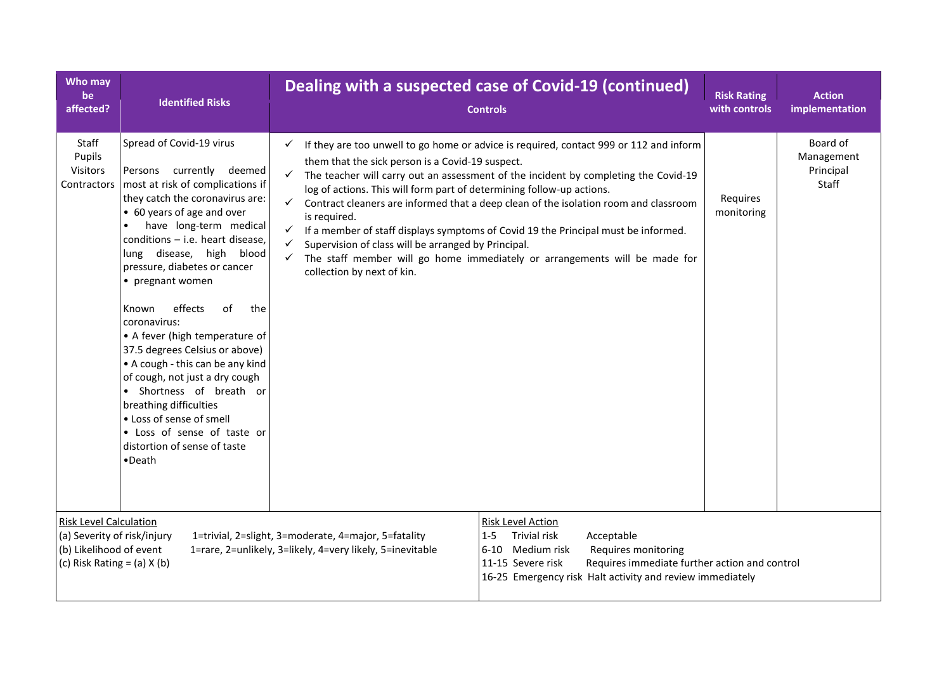| Who may<br>be<br>affected?                                                                                          | <b>Identified Risks</b>                                                                                                                                                                                                                                                                                                                                                                                                                                                                                                                                                                                                                                                  | Dealing with a suspected case of Covid-19 (continued)<br><b>Controls</b>                                                                                                                                                                                                                                       |                                                                                                                                                                                                                                                                                                                                                                                                                                           | <b>Risk Rating</b><br>with controls | <b>Action</b><br>implementation              |
|---------------------------------------------------------------------------------------------------------------------|--------------------------------------------------------------------------------------------------------------------------------------------------------------------------------------------------------------------------------------------------------------------------------------------------------------------------------------------------------------------------------------------------------------------------------------------------------------------------------------------------------------------------------------------------------------------------------------------------------------------------------------------------------------------------|----------------------------------------------------------------------------------------------------------------------------------------------------------------------------------------------------------------------------------------------------------------------------------------------------------------|-------------------------------------------------------------------------------------------------------------------------------------------------------------------------------------------------------------------------------------------------------------------------------------------------------------------------------------------------------------------------------------------------------------------------------------------|-------------------------------------|----------------------------------------------|
| Staff<br>Pupils<br>Visitors<br>Contractors                                                                          | Spread of Covid-19 virus<br>Persons currently deemed<br>most at risk of complications if<br>they catch the coronavirus are:<br>• 60 years of age and over<br>have long-term medical<br>conditions $-$ i.e. heart disease,<br>lung disease, high blood<br>pressure, diabetes or cancer<br>• pregnant women<br>effects<br>οf<br>Known<br>the<br>coronavirus:<br>• A fever (high temperature of<br>37.5 degrees Celsius or above)<br>• A cough - this can be any kind<br>of cough, not just a dry cough<br>• Shortness of breath or<br>breathing difficulties<br>• Loss of sense of smell<br>• Loss of sense of taste or<br>distortion of sense of taste<br>$\bullet$ Death | $\checkmark$<br>them that the sick person is a Covid-19 suspect.<br>$\checkmark$<br>log of actions. This will form part of determining follow-up actions.<br>$\checkmark$<br>is required.<br>Supervision of class will be arranged by Principal.<br>$\checkmark$<br>$\checkmark$<br>collection by next of kin. | If they are too unwell to go home or advice is required, contact 999 or 112 and inform<br>The teacher will carry out an assessment of the incident by completing the Covid-19<br>Contract cleaners are informed that a deep clean of the isolation room and classroom<br>If a member of staff displays symptoms of Covid 19 the Principal must be informed.<br>The staff member will go home immediately or arrangements will be made for | Requires<br>monitoring              | Board of<br>Management<br>Principal<br>Staff |
| Risk Level Calculation<br>(a) Severity of risk/injury<br>(b) Likelihood of event<br>(c) Risk Rating = $(a)$ X $(b)$ |                                                                                                                                                                                                                                                                                                                                                                                                                                                                                                                                                                                                                                                                          | 1=trivial, 2=slight, 3=moderate, 4=major, 5=fatality<br>1=rare, 2=unlikely, 3=likely, 4=very likely, 5=inevitable                                                                                                                                                                                              | <b>Risk Level Action</b><br>$1 - 5$<br>Trivial risk<br>Acceptable<br>6-10 Medium risk<br>Requires monitoring<br>Requires immediate further action and control<br>11-15 Severe risk<br>16-25 Emergency risk Halt activity and review immediately                                                                                                                                                                                           |                                     |                                              |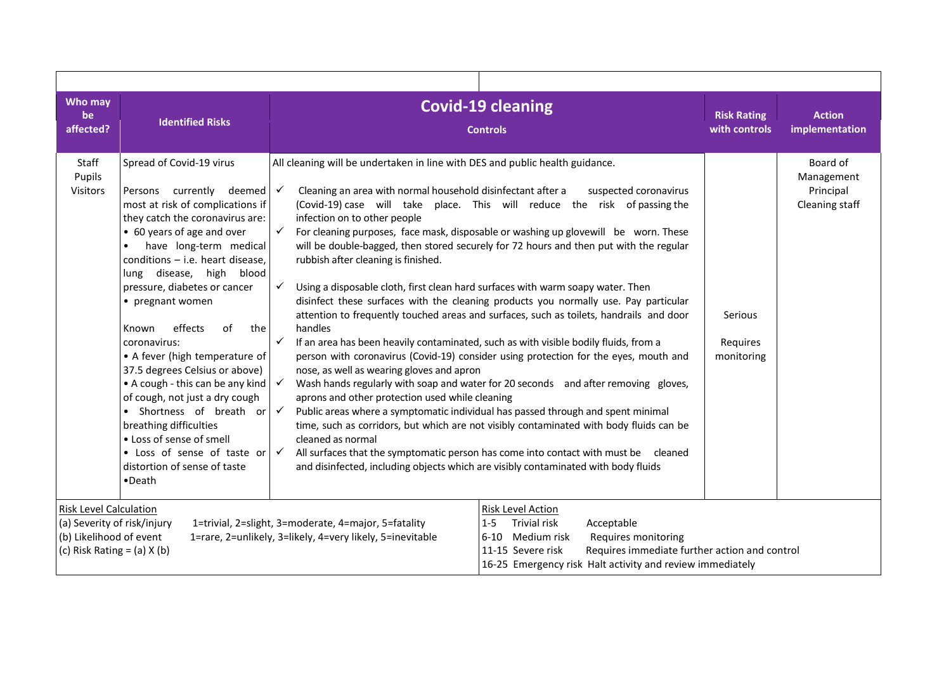| Who may<br>be<br>affected?                                                                                                                                                                                     | <b>Identified Risks</b>                                                                                                                                                                                                                                                                                                                                                                                                                                                                                                                                                                                                                                         |                                                                                                                                                                                                                                                                                                                                                                                                                                                                                                                                                       | <b>Covid-19 cleaning</b><br><b>Controls</b>                                                                                                                                                                                                                                                                                                                                                                                                                                                                                                                                                                                                                                                                                                                                                                                                                                                                                                                                                                                                                                                              | <b>Risk Rating</b><br>with controls | <b>Action</b><br>implementation                       |  |
|----------------------------------------------------------------------------------------------------------------------------------------------------------------------------------------------------------------|-----------------------------------------------------------------------------------------------------------------------------------------------------------------------------------------------------------------------------------------------------------------------------------------------------------------------------------------------------------------------------------------------------------------------------------------------------------------------------------------------------------------------------------------------------------------------------------------------------------------------------------------------------------------|-------------------------------------------------------------------------------------------------------------------------------------------------------------------------------------------------------------------------------------------------------------------------------------------------------------------------------------------------------------------------------------------------------------------------------------------------------------------------------------------------------------------------------------------------------|----------------------------------------------------------------------------------------------------------------------------------------------------------------------------------------------------------------------------------------------------------------------------------------------------------------------------------------------------------------------------------------------------------------------------------------------------------------------------------------------------------------------------------------------------------------------------------------------------------------------------------------------------------------------------------------------------------------------------------------------------------------------------------------------------------------------------------------------------------------------------------------------------------------------------------------------------------------------------------------------------------------------------------------------------------------------------------------------------------|-------------------------------------|-------------------------------------------------------|--|
|                                                                                                                                                                                                                |                                                                                                                                                                                                                                                                                                                                                                                                                                                                                                                                                                                                                                                                 |                                                                                                                                                                                                                                                                                                                                                                                                                                                                                                                                                       |                                                                                                                                                                                                                                                                                                                                                                                                                                                                                                                                                                                                                                                                                                                                                                                                                                                                                                                                                                                                                                                                                                          |                                     |                                                       |  |
| Staff<br>Pupils<br>Visitors                                                                                                                                                                                    | Spread of Covid-19 virus<br>Persons currently deemed<br>most at risk of complications if<br>they catch the coronavirus are:<br>• 60 years of age and over<br>have long-term medical<br>conditions $-$ i.e. heart disease,<br>lung disease, high blood<br>pressure, diabetes or cancer<br>• pregnant women<br>effects<br>of<br>the<br>Known<br>coronavirus:<br>• A fever (high temperature of<br>37.5 degrees Celsius or above)<br>• A cough - this can be any kind<br>of cough, not just a dry cough<br>• Shortness of breath or<br>breathing difficulties<br>• Loss of sense of smell<br>• Loss of sense of taste or<br>distortion of sense of taste<br>•Death | All cleaning will be undertaken in line with DES and public health guidance.<br>Cleaning an area with normal household disinfectant after a<br>$\checkmark$<br>infection on to other people<br>$\checkmark$<br>rubbish after cleaning is finished.<br>$\checkmark$<br>Using a disposable cloth, first clean hard surfaces with warm soapy water. Then<br>handles<br>$\checkmark$<br>nose, as well as wearing gloves and apron<br>$\checkmark$<br>aprons and other protection used while cleaning<br>$\checkmark$<br>cleaned as normal<br>$\checkmark$ | suspected coronavirus<br>(Covid-19) case will take place. This will reduce the risk of passing the<br>For cleaning purposes, face mask, disposable or washing up glovewill be worn. These<br>will be double-bagged, then stored securely for 72 hours and then put with the regular<br>disinfect these surfaces with the cleaning products you normally use. Pay particular<br>attention to frequently touched areas and surfaces, such as toilets, handrails and door<br>If an area has been heavily contaminated, such as with visible bodily fluids, from a<br>person with coronavirus (Covid-19) consider using protection for the eyes, mouth and<br>Wash hands regularly with soap and water for 20 seconds and after removing gloves,<br>Public areas where a symptomatic individual has passed through and spent minimal<br>time, such as corridors, but which are not visibly contaminated with body fluids can be<br>All surfaces that the symptomatic person has come into contact with must be cleaned<br>and disinfected, including objects which are visibly contaminated with body fluids | Serious<br>Requires<br>monitoring   | Board of<br>Management<br>Principal<br>Cleaning staff |  |
| <b>Risk Level Calculation</b>                                                                                                                                                                                  |                                                                                                                                                                                                                                                                                                                                                                                                                                                                                                                                                                                                                                                                 | <b>Risk Level Action</b>                                                                                                                                                                                                                                                                                                                                                                                                                                                                                                                              |                                                                                                                                                                                                                                                                                                                                                                                                                                                                                                                                                                                                                                                                                                                                                                                                                                                                                                                                                                                                                                                                                                          |                                     |                                                       |  |
| (a) Severity of risk/injury<br>1=trivial, 2=slight, 3=moderate, 4=major, 5=fatality<br>1=rare, 2=unlikely, 3=likely, 4=very likely, 5=inevitable<br>(b) Likelihood of event<br>(c) Risk Rating = $(a)$ X $(b)$ |                                                                                                                                                                                                                                                                                                                                                                                                                                                                                                                                                                                                                                                                 | Trivial risk<br>Acceptable<br>$1 - 5$<br>Requires monitoring<br>6-10 Medium risk<br>Requires immediate further action and control<br>11-15 Severe risk<br>16-25 Emergency risk Halt activity and review immediately                                                                                                                                                                                                                                                                                                                                   |                                                                                                                                                                                                                                                                                                                                                                                                                                                                                                                                                                                                                                                                                                                                                                                                                                                                                                                                                                                                                                                                                                          |                                     |                                                       |  |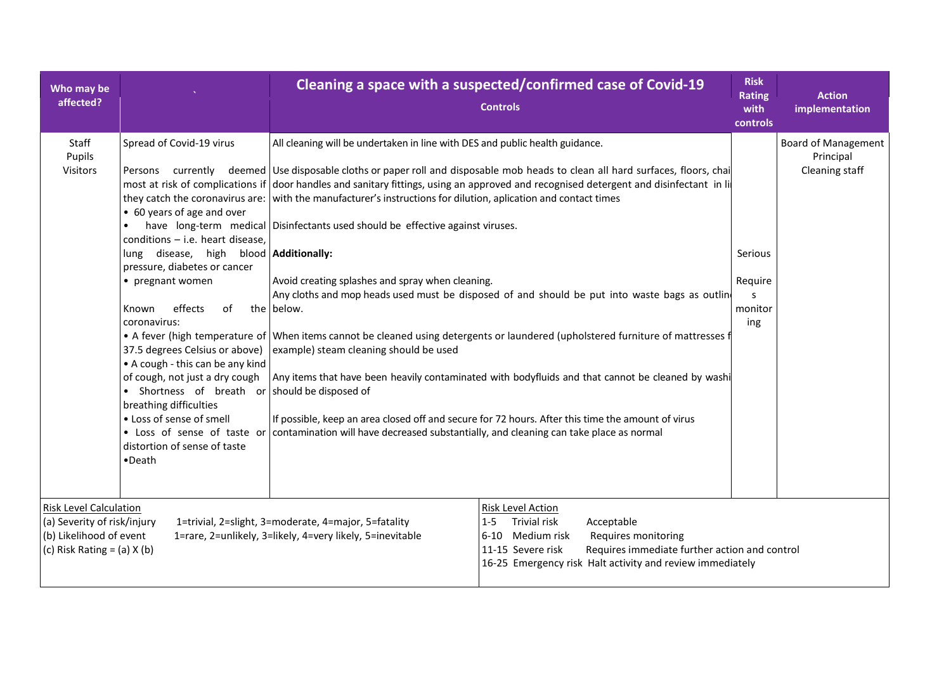| Who may be<br>affected?                                                                                                    |                                                                                                                                                                                                                                                                                                                                                                                                                                                                                                                                                   |                                                                                                                                                                                                                                                                                                                                                                                                                                                                                         | Cleaning a space with a suspected/confirmed case of Covid-19<br><b>Controls</b>                                                                                                                                                                                                                                                                                                                                                                                                                                                                                                                                                                                                                                          | <b>Risk</b><br><b>Rating</b><br>with<br>controls | <b>Action</b><br>implementation                           |
|----------------------------------------------------------------------------------------------------------------------------|---------------------------------------------------------------------------------------------------------------------------------------------------------------------------------------------------------------------------------------------------------------------------------------------------------------------------------------------------------------------------------------------------------------------------------------------------------------------------------------------------------------------------------------------------|-----------------------------------------------------------------------------------------------------------------------------------------------------------------------------------------------------------------------------------------------------------------------------------------------------------------------------------------------------------------------------------------------------------------------------------------------------------------------------------------|--------------------------------------------------------------------------------------------------------------------------------------------------------------------------------------------------------------------------------------------------------------------------------------------------------------------------------------------------------------------------------------------------------------------------------------------------------------------------------------------------------------------------------------------------------------------------------------------------------------------------------------------------------------------------------------------------------------------------|--------------------------------------------------|-----------------------------------------------------------|
| Staff<br>Pupils<br>Visitors                                                                                                | Spread of Covid-19 virus<br>• 60 years of age and over<br>$\bullet$<br>$conditions - i.e.$ heart disease,<br>lung disease, high blood <b>Additionally:</b><br>pressure, diabetes or cancer<br>• pregnant women<br>effects<br>of<br>Known<br>coronavirus:<br>37.5 degrees Celsius or above)<br>• A cough - this can be any kind<br>of cough, not just a dry cough<br>• Shortness of breath or should be disposed of<br>breathing difficulties<br>• Loss of sense of smell<br>• Loss of sense of taste or<br>distortion of sense of taste<br>•Death | All cleaning will be undertaken in line with DES and public health guidance.<br>they catch the coronavirus are: with the manufacturer's instructions for dilution, aplication and contact times<br>have long-term medical Disinfectants used should be effective against viruses.<br>Avoid creating splashes and spray when cleaning.<br>the below.<br>example) steam cleaning should be used<br>contamination will have decreased substantially, and cleaning can take place as normal | Persons currently deemed Use disposable cloths or paper roll and disposable mob heads to clean all hard surfaces, floors, chai<br>most at risk of complications if door handles and sanitary fittings, using an approved and recognised detergent and disinfectant in li<br>Any cloths and mop heads used must be disposed of and should be put into waste bags as outline<br>• A fever (high temperature of When items cannot be cleaned using detergents or laundered (upholstered furniture of mattresses f<br>Any items that have been heavily contaminated with bodyfluids and that cannot be cleaned by washi<br>If possible, keep an area closed off and secure for 72 hours. After this time the amount of virus | Serious<br>Require<br>monitor<br>ing             | <b>Board of Management</b><br>Principal<br>Cleaning staff |
| <b>Risk Level Calculation</b><br>(a) Severity of risk/injury<br>(b) Likelihood of event<br>(c) Risk Rating = $(a)$ X $(b)$ |                                                                                                                                                                                                                                                                                                                                                                                                                                                                                                                                                   | 1=trivial, 2=slight, 3=moderate, 4=major, 5=fatality<br>1=rare, 2=unlikely, 3=likely, 4=very likely, 5=inevitable                                                                                                                                                                                                                                                                                                                                                                       | <b>Risk Level Action</b><br>Trivial risk<br>Acceptable<br>$1 - 5$<br>6-10 Medium risk<br>Requires monitoring<br>Requires immediate further action and control<br>11-15 Severe risk<br>16-25 Emergency risk Halt activity and review immediately                                                                                                                                                                                                                                                                                                                                                                                                                                                                          |                                                  |                                                           |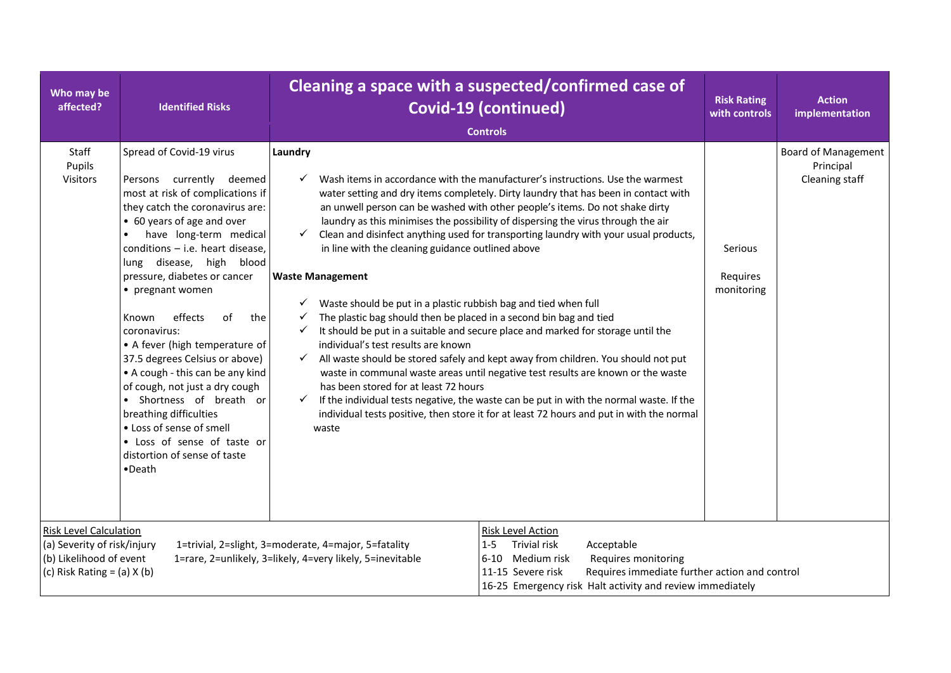| Who may be<br>affected?                                                                                                    | <b>Identified Risks</b>                                                                                                                                                                                                                                                                                                                                                                                                                                                                                                                                                                                                                                                      |                                                                                                                                                                                                                                                                                                                                                                                                | Cleaning a space with a suspected/confirmed case of<br><b>Covid-19 (continued)</b><br><b>Controls</b>                                                                                                                                                                                                                                                                                                                                                                                                                                                                                                                                                                                                                                                                                                                                                                                   | <b>Risk Rating</b><br>with controls      | <b>Action</b><br>implementation                           |
|----------------------------------------------------------------------------------------------------------------------------|------------------------------------------------------------------------------------------------------------------------------------------------------------------------------------------------------------------------------------------------------------------------------------------------------------------------------------------------------------------------------------------------------------------------------------------------------------------------------------------------------------------------------------------------------------------------------------------------------------------------------------------------------------------------------|------------------------------------------------------------------------------------------------------------------------------------------------------------------------------------------------------------------------------------------------------------------------------------------------------------------------------------------------------------------------------------------------|-----------------------------------------------------------------------------------------------------------------------------------------------------------------------------------------------------------------------------------------------------------------------------------------------------------------------------------------------------------------------------------------------------------------------------------------------------------------------------------------------------------------------------------------------------------------------------------------------------------------------------------------------------------------------------------------------------------------------------------------------------------------------------------------------------------------------------------------------------------------------------------------|------------------------------------------|-----------------------------------------------------------|
| Staff<br>Pupils<br>Visitors                                                                                                | Spread of Covid-19 virus<br>Persons currently deemed<br>most at risk of complications if<br>they catch the coronavirus are:<br>• 60 years of age and over<br>have long-term medical<br>$\bullet$<br>$conditions - i.e.$ heart disease,<br>lung disease, high blood<br>pressure, diabetes or cancer<br>• pregnant women<br>effects<br>of<br>the<br>Known<br>coronavirus:<br>• A fever (high temperature of<br>37.5 degrees Celsius or above)<br>• A cough - this can be any kind<br>of cough, not just a dry cough<br>• Shortness of breath or<br>breathing difficulties<br>• Loss of sense of smell<br>• Loss of sense of taste or<br>distortion of sense of taste<br>•Death | Laundry<br>$\checkmark$<br>$\checkmark$<br>in line with the cleaning guidance outlined above<br><b>Waste Management</b><br>Waste should be put in a plastic rubbish bag and tied when full<br>The plastic bag should then be placed in a second bin bag and tied<br>✓<br>individual's test results are known<br>$\checkmark$<br>has been stored for at least 72 hours<br>$\checkmark$<br>waste | Wash items in accordance with the manufacturer's instructions. Use the warmest<br>water setting and dry items completely. Dirty laundry that has been in contact with<br>an unwell person can be washed with other people's items. Do not shake dirty<br>laundry as this minimises the possibility of dispersing the virus through the air<br>Clean and disinfect anything used for transporting laundry with your usual products,<br>It should be put in a suitable and secure place and marked for storage until the<br>All waste should be stored safely and kept away from children. You should not put<br>waste in communal waste areas until negative test results are known or the waste<br>If the individual tests negative, the waste can be put in with the normal waste. If the<br>individual tests positive, then store it for at least 72 hours and put in with the normal | <b>Serious</b><br>Requires<br>monitoring | <b>Board of Management</b><br>Principal<br>Cleaning staff |
| <b>Risk Level Calculation</b><br>(a) Severity of risk/injury<br>(b) Likelihood of event<br>(c) Risk Rating = $(a)$ X $(b)$ |                                                                                                                                                                                                                                                                                                                                                                                                                                                                                                                                                                                                                                                                              | 1=trivial, 2=slight, 3=moderate, 4=major, 5=fatality<br>1=rare, 2=unlikely, 3=likely, 4=very likely, 5=inevitable                                                                                                                                                                                                                                                                              | <b>Risk Level Action</b><br>Trivial risk<br>Acceptable<br>$1 - 5$<br>Medium risk<br>Requires monitoring<br>6-10<br>11-15 Severe risk<br>Requires immediate further action and control<br>16-25 Emergency risk Halt activity and review immediately                                                                                                                                                                                                                                                                                                                                                                                                                                                                                                                                                                                                                                      |                                          |                                                           |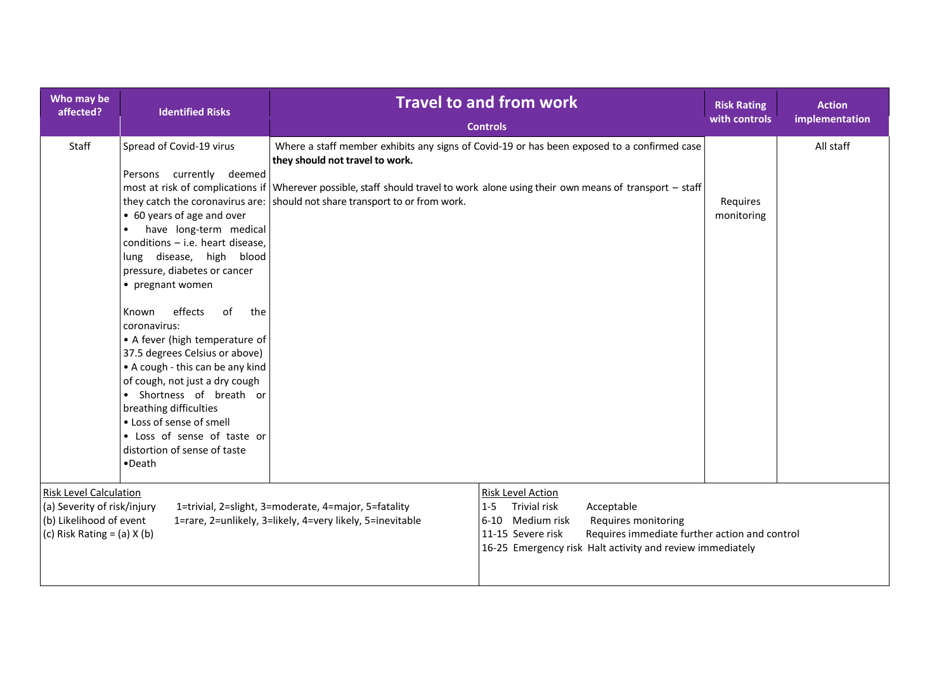| Who may be<br>affected?                                                                                                                                                                                                                         | <b>Identified Risks</b>                                                                                                                                                                                                                                                                                                                                                                                                                                                                                                                                                                             | <b>Travel to and from work</b><br><b>Controls</b>                                                                                                                                                                                                                                                                                                 | <b>Risk Rating</b><br>with controls | <b>Action</b><br>implementation |
|-------------------------------------------------------------------------------------------------------------------------------------------------------------------------------------------------------------------------------------------------|-----------------------------------------------------------------------------------------------------------------------------------------------------------------------------------------------------------------------------------------------------------------------------------------------------------------------------------------------------------------------------------------------------------------------------------------------------------------------------------------------------------------------------------------------------------------------------------------------------|---------------------------------------------------------------------------------------------------------------------------------------------------------------------------------------------------------------------------------------------------------------------------------------------------------------------------------------------------|-------------------------------------|---------------------------------|
| Staff                                                                                                                                                                                                                                           | Spread of Covid-19 virus<br>Persons currently deemed<br>• 60 years of age and over<br>have long-term medical<br>$\bullet$<br>conditions - i.e. heart disease,<br>lung disease, high blood<br>pressure, diabetes or cancer<br>• pregnant women<br>effects<br>of<br>the<br>Known<br>coronavirus:<br>• A fever (high temperature of<br>37.5 degrees Celsius or above)<br>• A cough - this can be any kind<br>of cough, not just a dry cough<br>· Shortness of breath or<br>breathing difficulties<br>• Loss of sense of smell<br>• Loss of sense of taste or<br>distortion of sense of taste<br>•Death | Where a staff member exhibits any signs of Covid-19 or has been exposed to a confirmed case<br>they should not travel to work.<br>most at risk of complications if Wherever possible, staff should travel to work alone using their own means of transport – staff<br>they catch the coronavirus are: should not share transport to or from work. | Requires<br>monitoring              | All staff                       |
| <b>Risk Level Calculation</b><br>(a) Severity of risk/injury<br>1=trivial, 2=slight, 3=moderate, 4=major, 5=fatality<br>(b) Likelihood of event<br>1=rare, 2=unlikely, 3=likely, 4=very likely, 5=inevitable<br>(c) Risk Rating = $(a)$ X $(b)$ |                                                                                                                                                                                                                                                                                                                                                                                                                                                                                                                                                                                                     | Risk Level Action<br><b>Trivial risk</b><br>Acceptable<br>$1 - 5$<br>6-10 Medium risk<br>Requires monitoring<br>11-15 Severe risk<br>Requires immediate further action and control<br>16-25 Emergency risk Halt activity and review immediately                                                                                                   |                                     |                                 |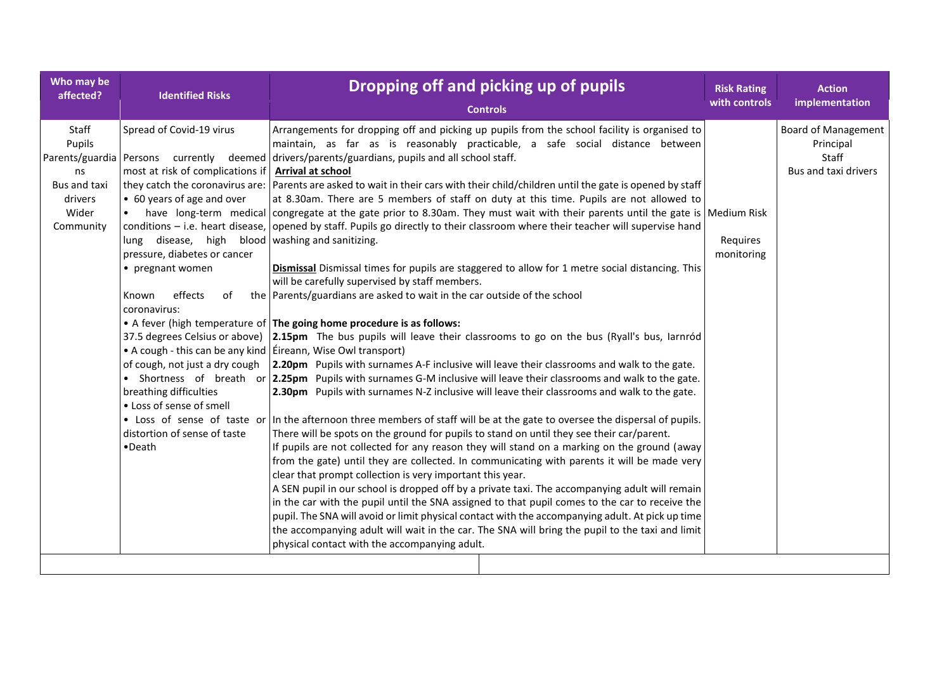| Who may be<br>affected?                                                | <b>Identified Risks</b>                                                                                                                                                                                                                                                                                                                                                                                                                                  | Dropping off and picking up of pupils<br><b>Controls</b>                                                                                                                                                                                                                                                                                                                                                                                                                                                                                                                                                                                                                                                                                                                                                                                                                                                                                                                                                                                                                                                                                                                                                                                                                                                                                                                                                                                                                                                                                                                                                                                                                                                                                                                                                                                                                                                                                                                                                                                                                                                                                                                                                                                                                                                                                                                                                                                                                                                                    | <b>Risk Rating</b><br>with controls | <b>Action</b><br>implementation                                          |
|------------------------------------------------------------------------|----------------------------------------------------------------------------------------------------------------------------------------------------------------------------------------------------------------------------------------------------------------------------------------------------------------------------------------------------------------------------------------------------------------------------------------------------------|-----------------------------------------------------------------------------------------------------------------------------------------------------------------------------------------------------------------------------------------------------------------------------------------------------------------------------------------------------------------------------------------------------------------------------------------------------------------------------------------------------------------------------------------------------------------------------------------------------------------------------------------------------------------------------------------------------------------------------------------------------------------------------------------------------------------------------------------------------------------------------------------------------------------------------------------------------------------------------------------------------------------------------------------------------------------------------------------------------------------------------------------------------------------------------------------------------------------------------------------------------------------------------------------------------------------------------------------------------------------------------------------------------------------------------------------------------------------------------------------------------------------------------------------------------------------------------------------------------------------------------------------------------------------------------------------------------------------------------------------------------------------------------------------------------------------------------------------------------------------------------------------------------------------------------------------------------------------------------------------------------------------------------------------------------------------------------------------------------------------------------------------------------------------------------------------------------------------------------------------------------------------------------------------------------------------------------------------------------------------------------------------------------------------------------------------------------------------------------------------------------------------------------|-------------------------------------|--------------------------------------------------------------------------|
| Staff<br>Pupils<br>ns<br>Bus and taxi<br>drivers<br>Wider<br>Community | Spread of Covid-19 virus<br>most at risk of complications if<br>they catch the coronavirus are:<br>• 60 years of age and over<br>lung disease, high blood washing and sanitizing.<br>pressure, diabetes or cancer<br>• pregnant women<br>effects<br>of<br>Known<br>coronavirus:<br>• A cough - this can be any kind $\vert$ Éireann, Wise Owl transport)<br>breathing difficulties<br>• Loss of sense of smell<br>distortion of sense of taste<br>•Death | Arrangements for dropping off and picking up pupils from the school facility is organised to<br>maintain, as far as is reasonably practicable, a safe social distance between<br>Parents/guardia Persons currently deemed drivers/parents/guardians, pupils and all school staff.<br>Arrival at school<br>Parents are asked to wait in their cars with their child/children until the gate is opened by staff<br>at 8.30am. There are 5 members of staff on duty at this time. Pupils are not allowed to<br>have long-term medical congregate at the gate prior to 8.30am. They must wait with their parents until the gate is Medium Risk<br>conditions – i.e. heart disease, opened by staff. Pupils go directly to their classroom where their teacher will supervise hand<br>Dismissal Dismissal times for pupils are staggered to allow for 1 metre social distancing. This<br>will be carefully supervised by staff members.<br>the Parents/guardians are asked to wait in the car outside of the school<br>• A fever (high temperature of The going home procedure is as follows:<br>37.5 degrees Celsius or above) 2.15pm The bus pupils will leave their classrooms to go on the bus (Ryall's bus, larnród<br>of cough, not just a dry cough 2.20pm Pupils with surnames A-F inclusive will leave their classrooms and walk to the gate.<br>• Shortness of breath or 2.25pm Pupils with surnames G-M inclusive will leave their classrooms and walk to the gate.<br>2.30pm Pupils with surnames N-Z inclusive will leave their classrooms and walk to the gate.<br>• Loss of sense of taste or In the afternoon three members of staff will be at the gate to oversee the dispersal of pupils.<br>There will be spots on the ground for pupils to stand on until they see their car/parent.<br>If pupils are not collected for any reason they will stand on a marking on the ground (away<br>from the gate) until they are collected. In communicating with parents it will be made very<br>clear that prompt collection is very important this year.<br>A SEN pupil in our school is dropped off by a private taxi. The accompanying adult will remain<br>in the car with the pupil until the SNA assigned to that pupil comes to the car to receive the<br>pupil. The SNA will avoid or limit physical contact with the accompanying adult. At pick up time<br>the accompanying adult will wait in the car. The SNA will bring the pupil to the taxi and limit<br>physical contact with the accompanying adult. | Requires<br>monitoring              | <b>Board of Management</b><br>Principal<br>Staff<br>Bus and taxi drivers |
|                                                                        |                                                                                                                                                                                                                                                                                                                                                                                                                                                          |                                                                                                                                                                                                                                                                                                                                                                                                                                                                                                                                                                                                                                                                                                                                                                                                                                                                                                                                                                                                                                                                                                                                                                                                                                                                                                                                                                                                                                                                                                                                                                                                                                                                                                                                                                                                                                                                                                                                                                                                                                                                                                                                                                                                                                                                                                                                                                                                                                                                                                                             |                                     |                                                                          |